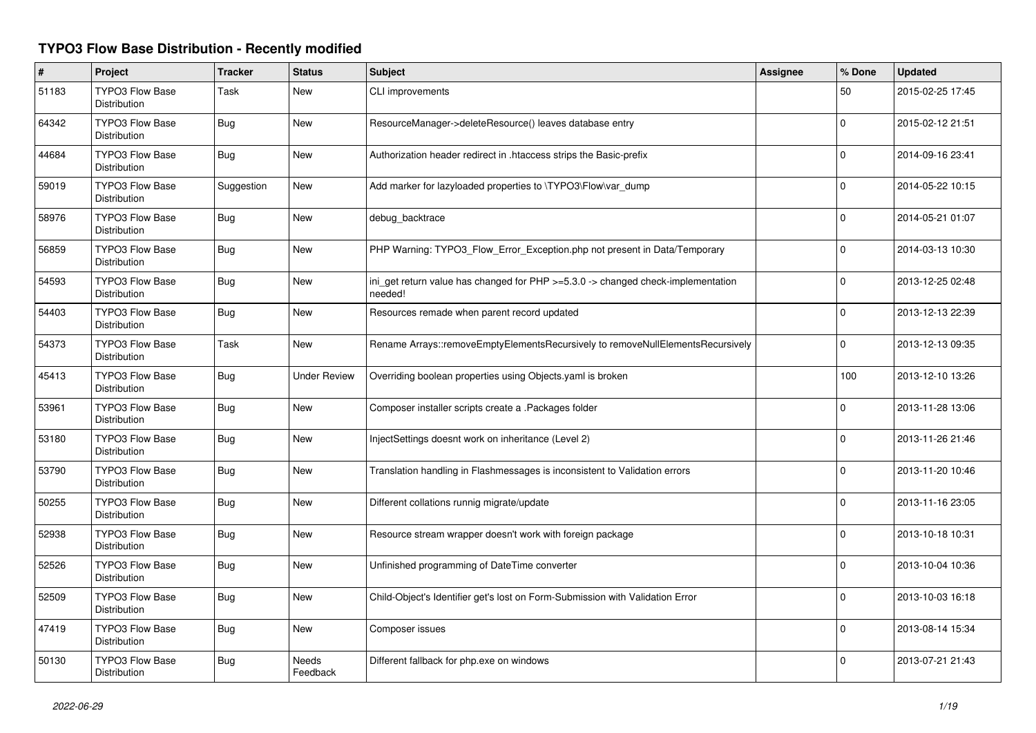## **TYPO3 Flow Base Distribution - Recently modified**

| #     | Project                                       | <b>Tracker</b> | <b>Status</b>            | <b>Subject</b>                                                                              | Assignee | % Done       | <b>Updated</b>   |
|-------|-----------------------------------------------|----------------|--------------------------|---------------------------------------------------------------------------------------------|----------|--------------|------------------|
| 51183 | <b>TYPO3 Flow Base</b><br>Distribution        | Task           | New                      | <b>CLI improvements</b>                                                                     |          | 50           | 2015-02-25 17:45 |
| 64342 | <b>TYPO3 Flow Base</b><br>Distribution        | Bug            | New                      | ResourceManager->deleteResource() leaves database entry                                     |          | $\Omega$     | 2015-02-12 21:51 |
| 44684 | <b>TYPO3 Flow Base</b><br><b>Distribution</b> | Bug            | New                      | Authorization header redirect in .htaccess strips the Basic-prefix                          |          | $\Omega$     | 2014-09-16 23:41 |
| 59019 | <b>TYPO3 Flow Base</b><br>Distribution        | Suggestion     | New                      | Add marker for lazyloaded properties to \TYPO3\Flow\var_dump                                |          | $\Omega$     | 2014-05-22 10:15 |
| 58976 | <b>TYPO3 Flow Base</b><br>Distribution        | <b>Bug</b>     | New                      | debug_backtrace                                                                             |          | $\Omega$     | 2014-05-21 01:07 |
| 56859 | <b>TYPO3 Flow Base</b><br>Distribution        | Bug            | New                      | PHP Warning: TYPO3 Flow Error Exception.php not present in Data/Temporary                   |          | 0            | 2014-03-13 10:30 |
| 54593 | <b>TYPO3 Flow Base</b><br>Distribution        | <b>Bug</b>     | New                      | ini_get return value has changed for PHP >=5.3.0 -> changed check-implementation<br>needed! |          | $\Omega$     | 2013-12-25 02:48 |
| 54403 | <b>TYPO3 Flow Base</b><br>Distribution        | <b>Bug</b>     | <b>New</b>               | Resources remade when parent record updated                                                 |          | $\Omega$     | 2013-12-13 22:39 |
| 54373 | <b>TYPO3 Flow Base</b><br>Distribution        | Task           | <b>New</b>               | Rename Arrays::removeEmptyElementsRecursively to removeNullElementsRecursively              |          | $\Omega$     | 2013-12-13 09:35 |
| 45413 | <b>TYPO3 Flow Base</b><br>Distribution        | Bug            | <b>Under Review</b>      | Overriding boolean properties using Objects.yaml is broken                                  |          | 100          | 2013-12-10 13:26 |
| 53961 | <b>TYPO3 Flow Base</b><br>Distribution        | Bug            | New                      | Composer installer scripts create a .Packages folder                                        |          | $\Omega$     | 2013-11-28 13:06 |
| 53180 | <b>TYPO3 Flow Base</b><br>Distribution        | <b>Bug</b>     | <b>New</b>               | InjectSettings doesnt work on inheritance (Level 2)                                         |          | $\Omega$     | 2013-11-26 21:46 |
| 53790 | <b>TYPO3 Flow Base</b><br>Distribution        | <b>Bug</b>     | New                      | Translation handling in Flashmessages is inconsistent to Validation errors                  |          | $\Omega$     | 2013-11-20 10:46 |
| 50255 | <b>TYPO3 Flow Base</b><br><b>Distribution</b> | <b>Bug</b>     | New                      | Different collations runnig migrate/update                                                  |          | $\Omega$     | 2013-11-16 23:05 |
| 52938 | TYPO3 Flow Base<br><b>Distribution</b>        | <b>Bug</b>     | New                      | Resource stream wrapper doesn't work with foreign package                                   |          | $\Omega$     | 2013-10-18 10:31 |
| 52526 | <b>TYPO3 Flow Base</b><br>Distribution        | <b>Bug</b>     | New                      | Unfinished programming of DateTime converter                                                |          | <sup>0</sup> | 2013-10-04 10:36 |
| 52509 | <b>TYPO3 Flow Base</b><br>Distribution        | <b>Bug</b>     | New                      | Child-Object's Identifier get's lost on Form-Submission with Validation Error               |          | $\Omega$     | 2013-10-03 16:18 |
| 47419 | TYPO3 Flow Base<br>Distribution               | <b>Bug</b>     | New                      | Composer issues                                                                             |          | $\Omega$     | 2013-08-14 15:34 |
| 50130 | <b>TYPO3 Flow Base</b><br>Distribution        | <b>Bug</b>     | <b>Needs</b><br>Feedback | Different fallback for php.exe on windows                                                   |          | 0            | 2013-07-21 21:43 |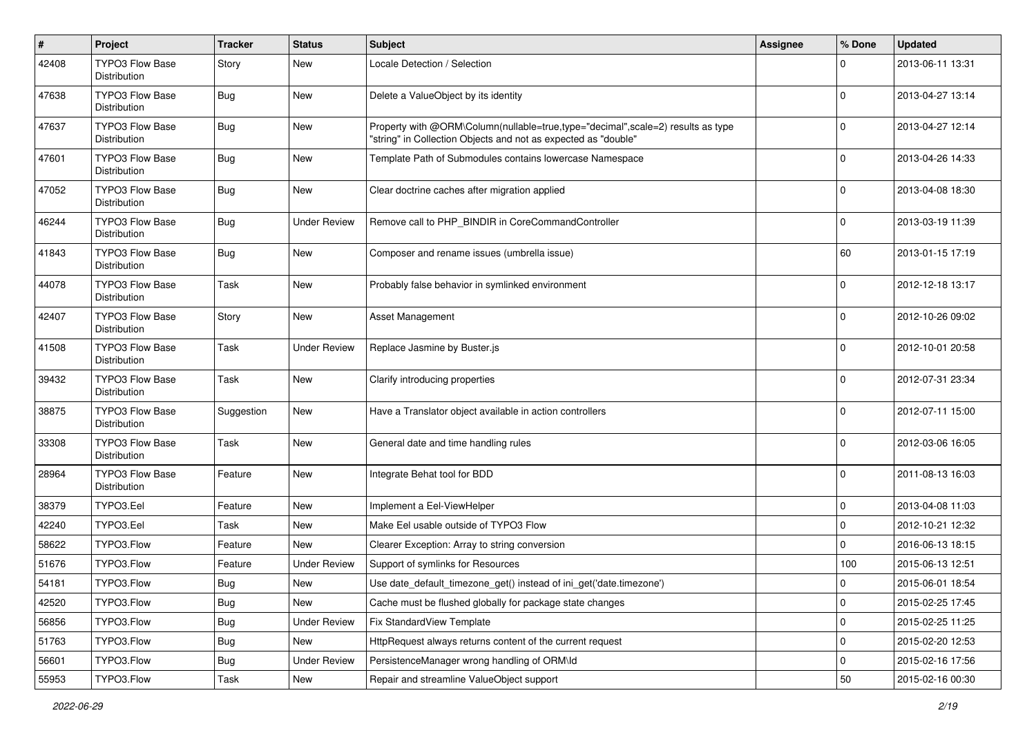| #     | Project                                | <b>Tracker</b>   | <b>Status</b>       | <b>Subject</b>                                                                                                                                    | <b>Assignee</b> | % Done      | <b>Updated</b>   |
|-------|----------------------------------------|------------------|---------------------|---------------------------------------------------------------------------------------------------------------------------------------------------|-----------------|-------------|------------------|
| 42408 | TYPO3 Flow Base<br>Distribution        | Story            | <b>New</b>          | Locale Detection / Selection                                                                                                                      |                 | 0           | 2013-06-11 13:31 |
| 47638 | <b>TYPO3 Flow Base</b><br>Distribution | Bug              | <b>New</b>          | Delete a ValueObject by its identity                                                                                                              |                 | 0           | 2013-04-27 13:14 |
| 47637 | TYPO3 Flow Base<br>Distribution        | Bug              | <b>New</b>          | Property with @ORM\Column(nullable=true,type="decimal",scale=2) results as type<br>"string" in Collection Objects and not as expected as "double" |                 | $\mathbf 0$ | 2013-04-27 12:14 |
| 47601 | <b>TYPO3 Flow Base</b><br>Distribution | Bug              | <b>New</b>          | Template Path of Submodules contains lowercase Namespace                                                                                          |                 | $\mathbf 0$ | 2013-04-26 14:33 |
| 47052 | TYPO3 Flow Base<br>Distribution        | Bug              | <b>New</b>          | Clear doctrine caches after migration applied                                                                                                     |                 | 0           | 2013-04-08 18:30 |
| 46244 | <b>TYPO3 Flow Base</b><br>Distribution | Bug              | <b>Under Review</b> | Remove call to PHP_BINDIR in CoreCommandController                                                                                                |                 | $\mathbf 0$ | 2013-03-19 11:39 |
| 41843 | TYPO3 Flow Base<br>Distribution        | Bug              | <b>New</b>          | Composer and rename issues (umbrella issue)                                                                                                       |                 | 60          | 2013-01-15 17:19 |
| 44078 | <b>TYPO3 Flow Base</b><br>Distribution | Task             | <b>New</b>          | Probably false behavior in symlinked environment                                                                                                  |                 | 0           | 2012-12-18 13:17 |
| 42407 | <b>TYPO3 Flow Base</b><br>Distribution | Story            | <b>New</b>          | <b>Asset Management</b>                                                                                                                           |                 | 0           | 2012-10-26 09:02 |
| 41508 | <b>TYPO3 Flow Base</b><br>Distribution | Task             | <b>Under Review</b> | Replace Jasmine by Buster.js                                                                                                                      |                 | 0           | 2012-10-01 20:58 |
| 39432 | <b>TYPO3 Flow Base</b><br>Distribution | Task             | <b>New</b>          | Clarify introducing properties                                                                                                                    |                 | $\mathbf 0$ | 2012-07-31 23:34 |
| 38875 | <b>TYPO3 Flow Base</b><br>Distribution | Suggestion       | <b>New</b>          | Have a Translator object available in action controllers                                                                                          |                 | $\Omega$    | 2012-07-11 15:00 |
| 33308 | <b>TYPO3 Flow Base</b><br>Distribution | Task             | <b>New</b>          | General date and time handling rules                                                                                                              |                 | 0           | 2012-03-06 16:05 |
| 28964 | TYPO3 Flow Base<br>Distribution        | Feature          | <b>New</b>          | Integrate Behat tool for BDD                                                                                                                      |                 | 0           | 2011-08-13 16:03 |
| 38379 | TYPO3.Eel                              | Feature          | <b>New</b>          | Implement a Eel-ViewHelper                                                                                                                        |                 | 0           | 2013-04-08 11:03 |
| 42240 | TYPO3.Eel                              | Task             | <b>New</b>          | Make Eel usable outside of TYPO3 Flow                                                                                                             |                 | 0           | 2012-10-21 12:32 |
| 58622 | TYPO3.Flow                             | Feature          | New                 | Clearer Exception: Array to string conversion                                                                                                     |                 | $\mathbf 0$ | 2016-06-13 18:15 |
| 51676 | TYPO3.Flow                             | Feature          | <b>Under Review</b> | Support of symlinks for Resources                                                                                                                 |                 | 100         | 2015-06-13 12:51 |
| 54181 | TYPO3.Flow                             | <sub>I</sub> Bug | New                 | Use date_default_timezone_get() instead of ini_get('date.timezone')                                                                               |                 | 0           | 2015-06-01 18:54 |
| 42520 | TYPO3.Flow                             | Bug              | New                 | Cache must be flushed globally for package state changes                                                                                          |                 | 0           | 2015-02-25 17:45 |
| 56856 | TYPO3.Flow                             | Bug              | <b>Under Review</b> | Fix StandardView Template                                                                                                                         |                 | 0           | 2015-02-25 11:25 |
| 51763 | TYPO3.Flow                             | <b>Bug</b>       | New                 | HttpRequest always returns content of the current request                                                                                         |                 | 0           | 2015-02-20 12:53 |
| 56601 | TYPO3.Flow                             | <b>Bug</b>       | <b>Under Review</b> | PersistenceManager wrong handling of ORM\ld                                                                                                       |                 | 0           | 2015-02-16 17:56 |
| 55953 | TYPO3.Flow                             | Task             | New                 | Repair and streamline ValueObject support                                                                                                         |                 | 50          | 2015-02-16 00:30 |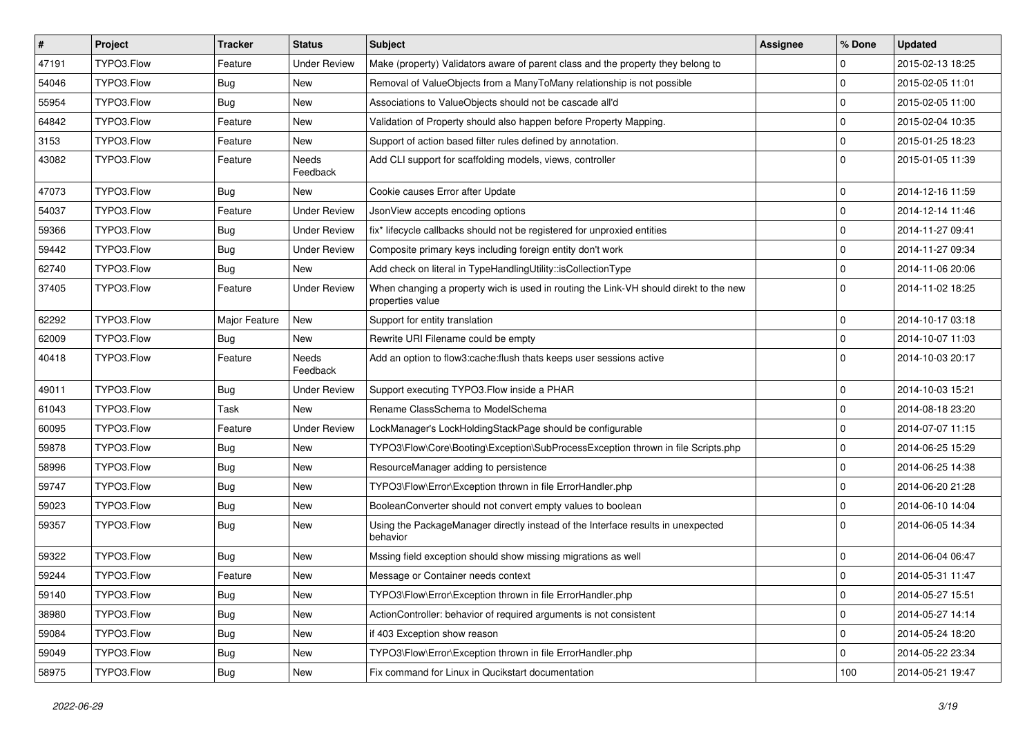| $\vert$ # | Project    | <b>Tracker</b> | <b>Status</b>       | <b>Subject</b>                                                                                            | <b>Assignee</b> | % Done         | <b>Updated</b>   |
|-----------|------------|----------------|---------------------|-----------------------------------------------------------------------------------------------------------|-----------------|----------------|------------------|
| 47191     | TYPO3.Flow | Feature        | <b>Under Review</b> | Make (property) Validators aware of parent class and the property they belong to                          |                 | 0              | 2015-02-13 18:25 |
| 54046     | TYPO3.Flow | Bug            | New                 | Removal of ValueObjects from a ManyToMany relationship is not possible                                    |                 | $\Omega$       | 2015-02-05 11:01 |
| 55954     | TYPO3.Flow | Bug            | New                 | Associations to ValueObjects should not be cascade all'd                                                  |                 | 0              | 2015-02-05 11:00 |
| 64842     | TYPO3.Flow | Feature        | New                 | Validation of Property should also happen before Property Mapping.                                        |                 | $\Omega$       | 2015-02-04 10:35 |
| 3153      | TYPO3.Flow | Feature        | New                 | Support of action based filter rules defined by annotation.                                               |                 | $\Omega$       | 2015-01-25 18:23 |
| 43082     | TYPO3.Flow | Feature        | Needs<br>Feedback   | Add CLI support for scaffolding models, views, controller                                                 |                 | $\Omega$       | 2015-01-05 11:39 |
| 47073     | TYPO3.Flow | Bug            | <b>New</b>          | Cookie causes Error after Update                                                                          |                 | $\Omega$       | 2014-12-16 11:59 |
| 54037     | TYPO3.Flow | Feature        | <b>Under Review</b> | JsonView accepts encoding options                                                                         |                 | $\overline{0}$ | 2014-12-14 11:46 |
| 59366     | TYPO3.Flow | Bug            | <b>Under Review</b> | fix* lifecycle callbacks should not be registered for unproxied entities                                  |                 | $\Omega$       | 2014-11-27 09:41 |
| 59442     | TYPO3.Flow | Bug            | <b>Under Review</b> | Composite primary keys including foreign entity don't work                                                |                 | 0              | 2014-11-27 09:34 |
| 62740     | TYPO3.Flow | <b>Bug</b>     | New                 | Add check on literal in TypeHandlingUtility::isCollectionType                                             |                 | $\mathbf 0$    | 2014-11-06 20:06 |
| 37405     | TYPO3.Flow | Feature        | <b>Under Review</b> | When changing a property wich is used in routing the Link-VH should direkt to the new<br>properties value |                 | $\Omega$       | 2014-11-02 18:25 |
| 62292     | TYPO3.Flow | Major Feature  | New                 | Support for entity translation                                                                            |                 | $\overline{0}$ | 2014-10-17 03:18 |
| 62009     | TYPO3.Flow | Bug            | <b>New</b>          | Rewrite URI Filename could be empty                                                                       |                 | $\overline{0}$ | 2014-10-07 11:03 |
| 40418     | TYPO3.Flow | Feature        | Needs<br>Feedback   | Add an option to flow3:cache:flush thats keeps user sessions active                                       |                 | $\Omega$       | 2014-10-03 20:17 |
| 49011     | TYPO3.Flow | Bug            | <b>Under Review</b> | Support executing TYPO3.Flow inside a PHAR                                                                |                 | 0              | 2014-10-03 15:21 |
| 61043     | TYPO3.Flow | Task           | <b>New</b>          | Rename ClassSchema to ModelSchema                                                                         |                 | $\mathbf 0$    | 2014-08-18 23:20 |
| 60095     | TYPO3.Flow | Feature        | <b>Under Review</b> | LockManager's LockHoldingStackPage should be configurable                                                 |                 | $\Omega$       | 2014-07-07 11:15 |
| 59878     | TYPO3.Flow | <b>Bug</b>     | New                 | TYPO3\Flow\Core\Booting\Exception\SubProcessException thrown in file Scripts.php                          |                 | $\Omega$       | 2014-06-25 15:29 |
| 58996     | TYPO3.Flow | Bug            | New                 | ResourceManager adding to persistence                                                                     |                 | $\Omega$       | 2014-06-25 14:38 |
| 59747     | TYPO3.Flow | Bug            | New                 | TYPO3\Flow\Error\Exception thrown in file ErrorHandler.php                                                |                 | $\mathbf 0$    | 2014-06-20 21:28 |
| 59023     | TYPO3.Flow | Bug            | New                 | BooleanConverter should not convert empty values to boolean                                               |                 | $\Omega$       | 2014-06-10 14:04 |
| 59357     | TYPO3.Flow | <b>Bug</b>     | New                 | Using the PackageManager directly instead of the Interface results in unexpected<br>behavior              |                 | $\Omega$       | 2014-06-05 14:34 |
| 59322     | TYPO3.Flow | <b>Bug</b>     | New                 | Mssing field exception should show missing migrations as well                                             |                 | $\mathbf 0$    | 2014-06-04 06:47 |
| 59244     | TYPO3.Flow | Feature        | New                 | Message or Container needs context                                                                        |                 | l 0            | 2014-05-31 11:47 |
| 59140     | TYPO3.Flow | <b>Bug</b>     | New                 | TYPO3\Flow\Error\Exception thrown in file ErrorHandler.php                                                |                 | 0              | 2014-05-27 15:51 |
| 38980     | TYPO3.Flow | <b>Bug</b>     | New                 | ActionController: behavior of required arguments is not consistent                                        |                 | $\overline{0}$ | 2014-05-27 14:14 |
| 59084     | TYPO3.Flow | Bug            | New                 | if 403 Exception show reason                                                                              |                 | l 0            | 2014-05-24 18:20 |
| 59049     | TYPO3.Flow | <b>Bug</b>     | New                 | TYPO3\Flow\Error\Exception thrown in file ErrorHandler.php                                                |                 | $\mathbf 0$    | 2014-05-22 23:34 |
| 58975     | TYPO3.Flow | <b>Bug</b>     | New                 | Fix command for Linux in Qucikstart documentation                                                         |                 | 100            | 2014-05-21 19:47 |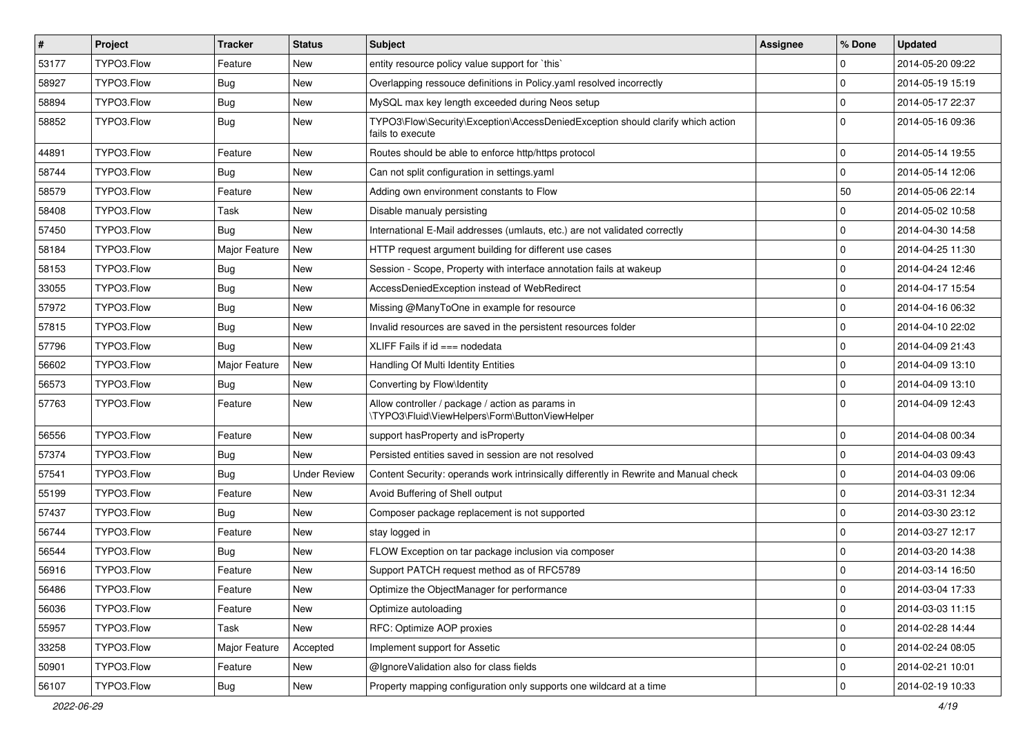| $\vert$ # | <b>Project</b> | <b>Tracker</b> | <b>Status</b>       | Subject                                                                                             | <b>Assignee</b> | % Done      | <b>Updated</b>   |
|-----------|----------------|----------------|---------------------|-----------------------------------------------------------------------------------------------------|-----------------|-------------|------------------|
| 53177     | TYPO3.Flow     | Feature        | New                 | entity resource policy value support for `this`                                                     |                 | $\mathbf 0$ | 2014-05-20 09:22 |
| 58927     | TYPO3.Flow     | <b>Bug</b>     | <b>New</b>          | Overlapping ressouce definitions in Policy yaml resolved incorrectly                                |                 | $\mathbf 0$ | 2014-05-19 15:19 |
| 58894     | TYPO3.Flow     | Bug            | New                 | MySQL max key length exceeded during Neos setup                                                     |                 | $\mathbf 0$ | 2014-05-17 22:37 |
| 58852     | TYPO3.Flow     | <b>Bug</b>     | New                 | TYPO3\Flow\Security\Exception\AccessDeniedException should clarify which action<br>fails to execute |                 | $\Omega$    | 2014-05-16 09:36 |
| 44891     | TYPO3.Flow     | Feature        | <b>New</b>          | Routes should be able to enforce http/https protocol                                                |                 | $\mathbf 0$ | 2014-05-14 19:55 |
| 58744     | TYPO3.Flow     | <b>Bug</b>     | New                 | Can not split configuration in settings.yaml                                                        |                 | $\mathbf 0$ | 2014-05-14 12:06 |
| 58579     | TYPO3.Flow     | Feature        | New                 | Adding own environment constants to Flow                                                            |                 | 50          | 2014-05-06 22:14 |
| 58408     | TYPO3.Flow     | Task           | New                 | Disable manualy persisting                                                                          |                 | $\mathbf 0$ | 2014-05-02 10:58 |
| 57450     | TYPO3.Flow     | <b>Bug</b>     | New                 | International E-Mail addresses (umlauts, etc.) are not validated correctly                          |                 | $\mathbf 0$ | 2014-04-30 14:58 |
| 58184     | TYPO3.Flow     | Major Feature  | New                 | HTTP request argument building for different use cases                                              |                 | $\mathbf 0$ | 2014-04-25 11:30 |
| 58153     | TYPO3.Flow     | <b>Bug</b>     | New                 | Session - Scope, Property with interface annotation fails at wakeup                                 |                 | $\mathbf 0$ | 2014-04-24 12:46 |
| 33055     | TYPO3.Flow     | Bug            | <b>New</b>          | AccessDeniedException instead of WebRedirect                                                        |                 | $\mathbf 0$ | 2014-04-17 15:54 |
| 57972     | TYPO3.Flow     | <b>Bug</b>     | New                 | Missing @ManyToOne in example for resource                                                          |                 | $\mathbf 0$ | 2014-04-16 06:32 |
| 57815     | TYPO3.Flow     | <b>Bug</b>     | New                 | Invalid resources are saved in the persistent resources folder                                      |                 | $\mathbf 0$ | 2014-04-10 22:02 |
| 57796     | TYPO3.Flow     | Bug            | New                 | XLIFF Fails if $id ==$ nodedata                                                                     |                 | $\mathbf 0$ | 2014-04-09 21:43 |
| 56602     | TYPO3.Flow     | Major Feature  | New                 | Handling Of Multi Identity Entities                                                                 |                 | $\mathbf 0$ | 2014-04-09 13:10 |
| 56573     | TYPO3.Flow     | Bug            | New                 | Converting by Flow\Identity                                                                         |                 | $\Omega$    | 2014-04-09 13:10 |
| 57763     | TYPO3.Flow     | Feature        | New                 | Allow controller / package / action as params in<br>\TYPO3\Fluid\ViewHelpers\Form\ButtonViewHelper  |                 | $\Omega$    | 2014-04-09 12:43 |
| 56556     | TYPO3.Flow     | Feature        | <b>New</b>          | support has Property and is Property                                                                |                 | $\mathbf 0$ | 2014-04-08 00:34 |
| 57374     | TYPO3.Flow     | <b>Bug</b>     | New                 | Persisted entities saved in session are not resolved                                                |                 | $\mathbf 0$ | 2014-04-03 09:43 |
| 57541     | TYPO3.Flow     | <b>Bug</b>     | <b>Under Review</b> | Content Security: operands work intrinsically differently in Rewrite and Manual check               |                 | $\mathbf 0$ | 2014-04-03 09:06 |
| 55199     | TYPO3.Flow     | Feature        | New                 | Avoid Buffering of Shell output                                                                     |                 | $\mathbf 0$ | 2014-03-31 12:34 |
| 57437     | TYPO3.Flow     | <b>Bug</b>     | New                 | Composer package replacement is not supported                                                       |                 | $\mathbf 0$ | 2014-03-30 23:12 |
| 56744     | TYPO3.Flow     | Feature        | New                 | stay logged in                                                                                      |                 | $\Omega$    | 2014-03-27 12:17 |
| 56544     | TYPO3.Flow     | Bug            | New                 | FLOW Exception on tar package inclusion via composer                                                |                 | $\mathbf 0$ | 2014-03-20 14:38 |
| 56916     | TYPO3.Flow     | Feature        | <b>New</b>          | Support PATCH request method as of RFC5789                                                          |                 | $\Omega$    | 2014-03-14 16:50 |
| 56486     | TYPO3.Flow     | Feature        | New                 | Optimize the ObjectManager for performance                                                          |                 | 0           | 2014-03-04 17:33 |
| 56036     | TYPO3.Flow     | Feature        | New                 | Optimize autoloading                                                                                |                 | $\pmb{0}$   | 2014-03-03 11:15 |
| 55957     | TYPO3.Flow     | Task           | New                 | RFC: Optimize AOP proxies                                                                           |                 | $\mathbf 0$ | 2014-02-28 14:44 |
| 33258     | TYPO3.Flow     | Major Feature  | Accepted            | Implement support for Assetic                                                                       |                 | $\pmb{0}$   | 2014-02-24 08:05 |
| 50901     | TYPO3.Flow     | Feature        | New                 | @IgnoreValidation also for class fields                                                             |                 | $\mathbf 0$ | 2014-02-21 10:01 |
| 56107     | TYPO3.Flow     | <b>Bug</b>     | New                 | Property mapping configuration only supports one wildcard at a time                                 |                 | $\mathsf 0$ | 2014-02-19 10:33 |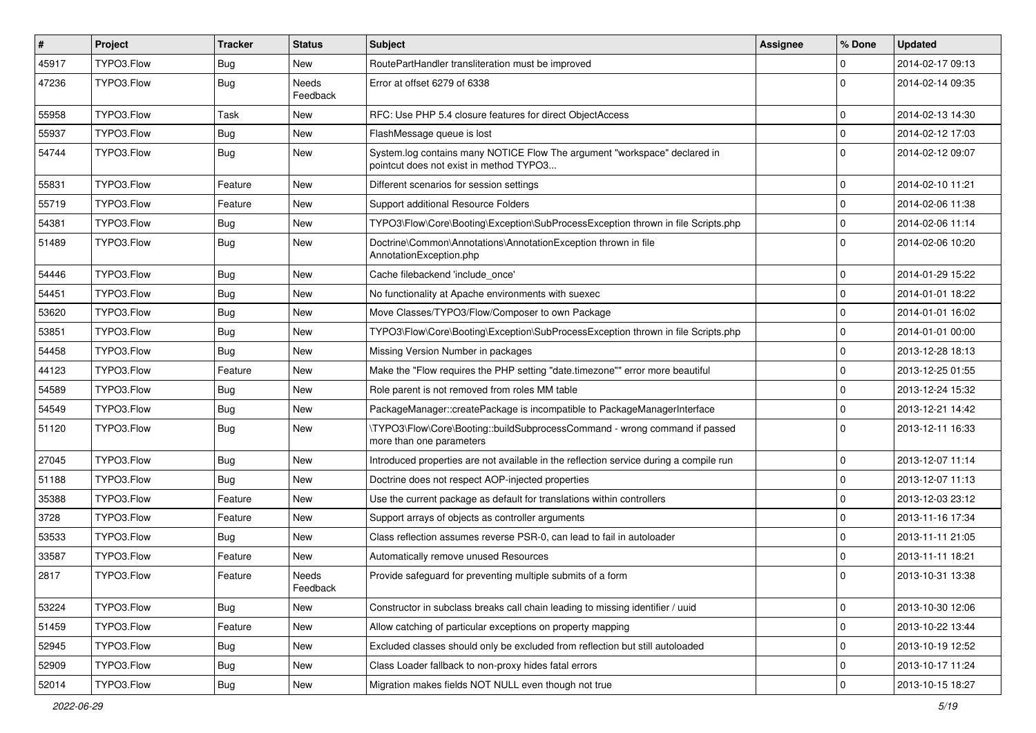| #     | Project    | <b>Tracker</b> | <b>Status</b>            | <b>Subject</b>                                                                                                       | Assignee | % Done      | <b>Updated</b>   |
|-------|------------|----------------|--------------------------|----------------------------------------------------------------------------------------------------------------------|----------|-------------|------------------|
| 45917 | TYPO3.Flow | Bug            | New                      | RoutePartHandler transliteration must be improved                                                                    |          | 0           | 2014-02-17 09:13 |
| 47236 | TYPO3.Flow | <b>Bug</b>     | <b>Needs</b><br>Feedback | Error at offset 6279 of 6338                                                                                         |          | $\Omega$    | 2014-02-14 09:35 |
| 55958 | TYPO3.Flow | Task           | New                      | RFC: Use PHP 5.4 closure features for direct ObjectAccess                                                            |          | $\mathbf 0$ | 2014-02-13 14:30 |
| 55937 | TYPO3.Flow | Bug            | <b>New</b>               | FlashMessage queue is lost                                                                                           |          | $\mathbf 0$ | 2014-02-12 17:03 |
| 54744 | TYPO3.Flow | <b>Bug</b>     | New                      | System.log contains many NOTICE Flow The argument "workspace" declared in<br>pointcut does not exist in method TYPO3 |          | $\Omega$    | 2014-02-12 09:07 |
| 55831 | TYPO3.Flow | Feature        | New                      | Different scenarios for session settings                                                                             |          | $\mathbf 0$ | 2014-02-10 11:21 |
| 55719 | TYPO3.Flow | Feature        | New                      | Support additional Resource Folders                                                                                  |          | $\mathbf 0$ | 2014-02-06 11:38 |
| 54381 | TYPO3.Flow | Bug            | New                      | TYPO3\Flow\Core\Booting\Exception\SubProcessException thrown in file Scripts.php                                     |          | $\mathbf 0$ | 2014-02-06 11:14 |
| 51489 | TYPO3.Flow | Bug            | New                      | Doctrine\Common\Annotations\AnnotationException thrown in file<br>AnnotationException.php                            |          | $\Omega$    | 2014-02-06 10:20 |
| 54446 | TYPO3.Flow | <b>Bug</b>     | <b>New</b>               | Cache filebackend 'include_once'                                                                                     |          | $\mathbf 0$ | 2014-01-29 15:22 |
| 54451 | TYPO3.Flow | Bug            | New                      | No functionality at Apache environments with suexec                                                                  |          | $\mathbf 0$ | 2014-01-01 18:22 |
| 53620 | TYPO3.Flow | Bug            | New                      | Move Classes/TYPO3/Flow/Composer to own Package                                                                      |          | $\mathbf 0$ | 2014-01-01 16:02 |
| 53851 | TYPO3.Flow | Bug            | New                      | TYPO3\Flow\Core\Booting\Exception\SubProcessException thrown in file Scripts.php                                     |          | $\mathbf 0$ | 2014-01-01 00:00 |
| 54458 | TYPO3.Flow | Bug            | New                      | Missing Version Number in packages                                                                                   |          | $\mathbf 0$ | 2013-12-28 18:13 |
| 44123 | TYPO3.Flow | Feature        | New                      | Make the "Flow requires the PHP setting "date.timezone"" error more beautiful                                        |          | $\mathbf 0$ | 2013-12-25 01:55 |
| 54589 | TYPO3.Flow | Bug            | New                      | Role parent is not removed from roles MM table                                                                       |          | $\mathbf 0$ | 2013-12-24 15:32 |
| 54549 | TYPO3.Flow | Bug            | New                      | PackageManager::createPackage is incompatible to PackageManagerInterface                                             |          | $\mathbf 0$ | 2013-12-21 14:42 |
| 51120 | TYPO3.Flow | Bug            | New                      | \TYPO3\Flow\Core\Booting::buildSubprocessCommand - wrong command if passed<br>more than one parameters               |          | $\Omega$    | 2013-12-11 16:33 |
| 27045 | TYPO3.Flow | Bug            | <b>New</b>               | Introduced properties are not available in the reflection service during a compile run                               |          | $\mathbf 0$ | 2013-12-07 11:14 |
| 51188 | TYPO3.Flow | Bug            | New                      | Doctrine does not respect AOP-injected properties                                                                    |          | 0           | 2013-12-07 11:13 |
| 35388 | TYPO3.Flow | Feature        | New                      | Use the current package as default for translations within controllers                                               |          | $\mathbf 0$ | 2013-12-03 23:12 |
| 3728  | TYPO3.Flow | Feature        | New                      | Support arrays of objects as controller arguments                                                                    |          | $\Omega$    | 2013-11-16 17:34 |
| 53533 | TYPO3.Flow | Bug            | New                      | Class reflection assumes reverse PSR-0, can lead to fail in autoloader                                               |          | $\mathbf 0$ | 2013-11-11 21:05 |
| 33587 | TYPO3.Flow | Feature        | New                      | Automatically remove unused Resources                                                                                |          | $\mathbf 0$ | 2013-11-11 18:21 |
| 2817  | TYPO3.Flow | Feature        | Needs<br>Feedback        | Provide safeguard for preventing multiple submits of a form                                                          |          | $\Omega$    | 2013-10-31 13:38 |
| 53224 | TYPO3.Flow | Bug            | New                      | Constructor in subclass breaks call chain leading to missing identifier / uuid                                       |          | $\mathbf 0$ | 2013-10-30 12:06 |
| 51459 | TYPO3.Flow | Feature        | New                      | Allow catching of particular exceptions on property mapping                                                          |          | $\mathbf 0$ | 2013-10-22 13:44 |
| 52945 | TYPO3.Flow | Bug            | New                      | Excluded classes should only be excluded from reflection but still autoloaded                                        |          | 0           | 2013-10-19 12:52 |
| 52909 | TYPO3.Flow | <b>Bug</b>     | New                      | Class Loader fallback to non-proxy hides fatal errors                                                                |          | 0           | 2013-10-17 11:24 |
| 52014 | TYPO3.Flow | Bug            | New                      | Migration makes fields NOT NULL even though not true                                                                 |          | $\mathbf 0$ | 2013-10-15 18:27 |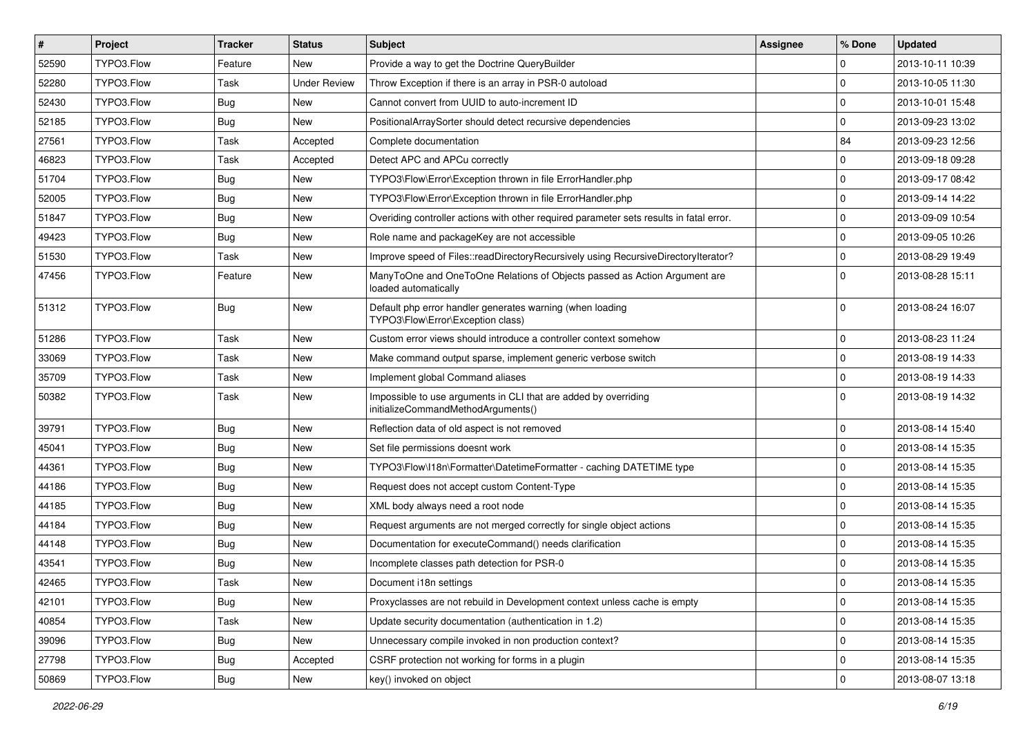| $\pmb{\#}$ | <b>Project</b> | <b>Tracker</b> | <b>Status</b>       | Subject                                                                                               | <b>Assignee</b> | % Done              | <b>Updated</b>   |
|------------|----------------|----------------|---------------------|-------------------------------------------------------------------------------------------------------|-----------------|---------------------|------------------|
| 52590      | TYPO3.Flow     | Feature        | New                 | Provide a way to get the Doctrine QueryBuilder                                                        |                 | $\Omega$            | 2013-10-11 10:39 |
| 52280      | TYPO3.Flow     | Task           | <b>Under Review</b> | Throw Exception if there is an array in PSR-0 autoload                                                |                 | $\mathbf 0$         | 2013-10-05 11:30 |
| 52430      | TYPO3.Flow     | Bug            | <b>New</b>          | Cannot convert from UUID to auto-increment ID                                                         |                 | $\Omega$            | 2013-10-01 15:48 |
| 52185      | TYPO3.Flow     | <b>Bug</b>     | New                 | PositionalArraySorter should detect recursive dependencies                                            |                 | $\mathbf 0$         | 2013-09-23 13:02 |
| 27561      | TYPO3.Flow     | Task           | Accepted            | Complete documentation                                                                                |                 | 84                  | 2013-09-23 12:56 |
| 46823      | TYPO3.Flow     | Task           | Accepted            | Detect APC and APCu correctly                                                                         |                 | $\mathbf 0$         | 2013-09-18 09:28 |
| 51704      | TYPO3.Flow     | <b>Bug</b>     | <b>New</b>          | TYPO3\Flow\Error\Exception thrown in file ErrorHandler.php                                            |                 | $\mathbf 0$         | 2013-09-17 08:42 |
| 52005      | TYPO3.Flow     | Bug            | New                 | TYPO3\Flow\Error\Exception thrown in file ErrorHandler.php                                            |                 | $\mathbf 0$         | 2013-09-14 14:22 |
| 51847      | TYPO3.Flow     | <b>Bug</b>     | New                 | Overiding controller actions with other required parameter sets results in fatal error.               |                 | $\mathbf 0$         | 2013-09-09 10:54 |
| 49423      | TYPO3.Flow     | <b>Bug</b>     | New                 | Role name and packageKey are not accessible                                                           |                 | $\mathbf 0$         | 2013-09-05 10:26 |
| 51530      | TYPO3.Flow     | Task           | New                 | Improve speed of Files::readDirectoryRecursively using RecursiveDirectoryIterator?                    |                 | $\mathbf 0$         | 2013-08-29 19:49 |
| 47456      | TYPO3.Flow     | Feature        | New                 | ManyToOne and OneToOne Relations of Objects passed as Action Argument are<br>loaded automatically     |                 | $\Omega$            | 2013-08-28 15:11 |
| 51312      | TYPO3.Flow     | Bug            | <b>New</b>          | Default php error handler generates warning (when loading<br>TYPO3\Flow\Error\Exception class)        |                 | $\Omega$            | 2013-08-24 16:07 |
| 51286      | TYPO3.Flow     | Task           | New                 | Custom error views should introduce a controller context somehow                                      |                 | $\mathbf 0$         | 2013-08-23 11:24 |
| 33069      | TYPO3.Flow     | Task           | New                 | Make command output sparse, implement generic verbose switch                                          |                 | $\mathbf 0$         | 2013-08-19 14:33 |
| 35709      | TYPO3.Flow     | Task           | <b>New</b>          | Implement global Command aliases                                                                      |                 | $\mathbf 0$         | 2013-08-19 14:33 |
| 50382      | TYPO3.Flow     | Task           | New                 | Impossible to use arguments in CLI that are added by overriding<br>initializeCommandMethodArguments() |                 | $\Omega$            | 2013-08-19 14:32 |
| 39791      | TYPO3.Flow     | Bug            | <b>New</b>          | Reflection data of old aspect is not removed                                                          |                 | $\mathbf 0$         | 2013-08-14 15:40 |
| 45041      | TYPO3.Flow     | <b>Bug</b>     | New                 | Set file permissions doesnt work                                                                      |                 | $\mathbf 0$         | 2013-08-14 15:35 |
| 44361      | TYPO3.Flow     | <b>Bug</b>     | <b>New</b>          | TYPO3\Flow\I18n\Formatter\DatetimeFormatter - caching DATETIME type                                   |                 | $\mathbf 0$         | 2013-08-14 15:35 |
| 44186      | TYPO3.Flow     | Bug            | New                 | Request does not accept custom Content-Type                                                           |                 | $\mathbf 0$         | 2013-08-14 15:35 |
| 44185      | TYPO3.Flow     | <b>Bug</b>     | New                 | XML body always need a root node                                                                      |                 | $\mathbf 0$         | 2013-08-14 15:35 |
| 44184      | TYPO3.Flow     | Bug            | <b>New</b>          | Request arguments are not merged correctly for single object actions                                  |                 | $\mathbf 0$         | 2013-08-14 15:35 |
| 44148      | TYPO3.Flow     | Bug            | New                 | Documentation for executeCommand() needs clarification                                                |                 | $\mathbf 0$         | 2013-08-14 15:35 |
| 43541      | TYPO3.Flow     | <b>Bug</b>     | New                 | Incomplete classes path detection for PSR-0                                                           |                 | $\mathbf 0$         | 2013-08-14 15:35 |
| 42465      | TYPO3.Flow     | Task           | New                 | Document i18n settings                                                                                |                 | $\Omega$            | 2013-08-14 15:35 |
| 42101      | TYPO3.Flow     | Bug            | New                 | Proxyclasses are not rebuild in Development context unless cache is empty                             |                 | $\mathbf 0$         | 2013-08-14 15:35 |
| 40854      | TYPO3.Flow     | Task           | New                 | Update security documentation (authentication in 1.2)                                                 |                 | $\mathsf{O}\xspace$ | 2013-08-14 15:35 |
| 39096      | TYPO3.Flow     | <b>Bug</b>     | New                 | Unnecessary compile invoked in non production context?                                                |                 | $\mathsf{O}\xspace$ | 2013-08-14 15:35 |
| 27798      | TYPO3.Flow     | Bug            | Accepted            | CSRF protection not working for forms in a plugin                                                     |                 | 0                   | 2013-08-14 15:35 |
| 50869      | TYPO3.Flow     | Bug            | New                 | key() invoked on object                                                                               |                 | 0                   | 2013-08-07 13:18 |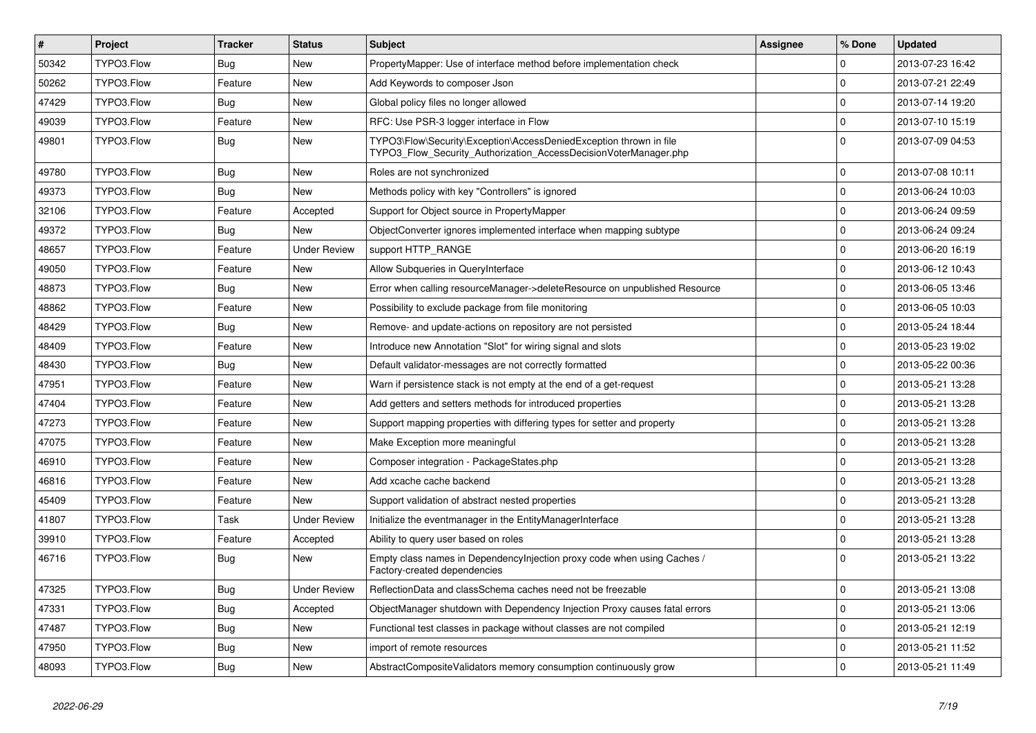| $\pmb{\#}$ | Project    | <b>Tracker</b> | <b>Status</b>       | <b>Subject</b>                                                                                                                         | Assignee | % Done      | <b>Updated</b>   |
|------------|------------|----------------|---------------------|----------------------------------------------------------------------------------------------------------------------------------------|----------|-------------|------------------|
| 50342      | TYPO3.Flow | Bug            | <b>New</b>          | PropertyMapper: Use of interface method before implementation check                                                                    |          | $\Omega$    | 2013-07-23 16:42 |
| 50262      | TYPO3.Flow | Feature        | <b>New</b>          | Add Keywords to composer Json                                                                                                          |          | $\Omega$    | 2013-07-21 22:49 |
| 47429      | TYPO3.Flow | Bug            | <b>New</b>          | Global policy files no longer allowed                                                                                                  |          | $\mathbf 0$ | 2013-07-14 19:20 |
| 49039      | TYPO3.Flow | Feature        | <b>New</b>          | RFC: Use PSR-3 logger interface in Flow                                                                                                |          | $\mathbf 0$ | 2013-07-10 15:19 |
| 49801      | TYPO3.Flow | <b>Bug</b>     | <b>New</b>          | TYPO3\Flow\Security\Exception\AccessDeniedException thrown in file<br>TYPO3_Flow_Security_Authorization_AccessDecisionVoterManager.php |          | $\Omega$    | 2013-07-09 04:53 |
| 49780      | TYPO3.Flow | <b>Bug</b>     | New                 | Roles are not synchronized                                                                                                             |          | $\Omega$    | 2013-07-08 10:11 |
| 49373      | TYPO3.Flow | Bug            | New                 | Methods policy with key "Controllers" is ignored                                                                                       |          | $\mathbf 0$ | 2013-06-24 10:03 |
| 32106      | TYPO3.Flow | Feature        | Accepted            | Support for Object source in PropertyMapper                                                                                            |          | $\mathbf 0$ | 2013-06-24 09:59 |
| 49372      | TYPO3.Flow | <b>Bug</b>     | <b>New</b>          | ObjectConverter ignores implemented interface when mapping subtype                                                                     |          | $\mathbf 0$ | 2013-06-24 09:24 |
| 48657      | TYPO3.Flow | Feature        | <b>Under Review</b> | support HTTP RANGE                                                                                                                     |          | $\Omega$    | 2013-06-20 16:19 |
| 49050      | TYPO3.Flow | Feature        | <b>New</b>          | Allow Subqueries in QueryInterface                                                                                                     |          | $\Omega$    | 2013-06-12 10:43 |
| 48873      | TYPO3.Flow | <b>Bug</b>     | New                 | Error when calling resourceManager->deleteResource on unpublished Resource                                                             |          | $\Omega$    | 2013-06-05 13:46 |
| 48862      | TYPO3.Flow | Feature        | New                 | Possibility to exclude package from file monitoring                                                                                    |          | $\mathbf 0$ | 2013-06-05 10:03 |
| 48429      | TYPO3.Flow | <b>Bug</b>     | New                 | Remove- and update-actions on repository are not persisted                                                                             |          | $\mathbf 0$ | 2013-05-24 18:44 |
| 48409      | TYPO3.Flow | Feature        | <b>New</b>          | Introduce new Annotation "Slot" for wiring signal and slots                                                                            |          | $\mathbf 0$ | 2013-05-23 19:02 |
| 48430      | TYPO3.Flow | Bug            | <b>New</b>          | Default validator-messages are not correctly formatted                                                                                 |          | $\Omega$    | 2013-05-22 00:36 |
| 47951      | TYPO3.Flow | Feature        | New                 | Warn if persistence stack is not empty at the end of a get-request                                                                     |          | $\Omega$    | 2013-05-21 13:28 |
| 47404      | TYPO3.Flow | Feature        | New                 | Add getters and setters methods for introduced properties                                                                              |          | $\Omega$    | 2013-05-21 13:28 |
| 47273      | TYPO3.Flow | Feature        | New                 | Support mapping properties with differing types for setter and property                                                                |          | $\Omega$    | 2013-05-21 13:28 |
| 47075      | TYPO3.Flow | Feature        | New                 | Make Exception more meaningful                                                                                                         |          | $\mathbf 0$ | 2013-05-21 13:28 |
| 46910      | TYPO3.Flow | Feature        | New                 | Composer integration - PackageStates.php                                                                                               |          | $\mathbf 0$ | 2013-05-21 13:28 |
| 46816      | TYPO3.Flow | Feature        | <b>New</b>          | Add xcache cache backend                                                                                                               |          | $\Omega$    | 2013-05-21 13:28 |
| 45409      | TYPO3.Flow | Feature        | <b>New</b>          | Support validation of abstract nested properties                                                                                       |          | $\Omega$    | 2013-05-21 13:28 |
| 41807      | TYPO3.Flow | Task           | <b>Under Review</b> | Initialize the eventmanager in the EntityManagerInterface                                                                              |          | $\Omega$    | 2013-05-21 13:28 |
| 39910      | TYPO3.Flow | Feature        | Accepted            | Ability to query user based on roles                                                                                                   |          | $\Omega$    | 2013-05-21 13:28 |
| 46716      | TYPO3.Flow | <b>Bug</b>     | New                 | Empty class names in Dependencylnjection proxy code when using Caches /<br>Factory-created dependencies                                |          | $\Omega$    | 2013-05-21 13:22 |
| 47325      | TYPO3.Flow | <b>Bug</b>     | <b>Under Review</b> | ReflectionData and classSchema caches need not be freezable                                                                            |          | $\Omega$    | 2013-05-21 13:08 |
| 47331      | TYPO3.Flow | <b>Bug</b>     | Accepted            | ObjectManager shutdown with Dependency Injection Proxy causes fatal errors                                                             |          | $\Omega$    | 2013-05-21 13:06 |
| 47487      | TYPO3.Flow | <b>Bug</b>     | <b>New</b>          | Functional test classes in package without classes are not compiled                                                                    |          | $\Omega$    | 2013-05-21 12:19 |
| 47950      | TYPO3.Flow | <b>Bug</b>     | <b>New</b>          | import of remote resources                                                                                                             |          | $\Omega$    | 2013-05-21 11:52 |
| 48093      | TYPO3.Flow | <b>Bug</b>     | New                 | AbstractCompositeValidators memory consumption continuously grow                                                                       |          | $\Omega$    | 2013-05-21 11:49 |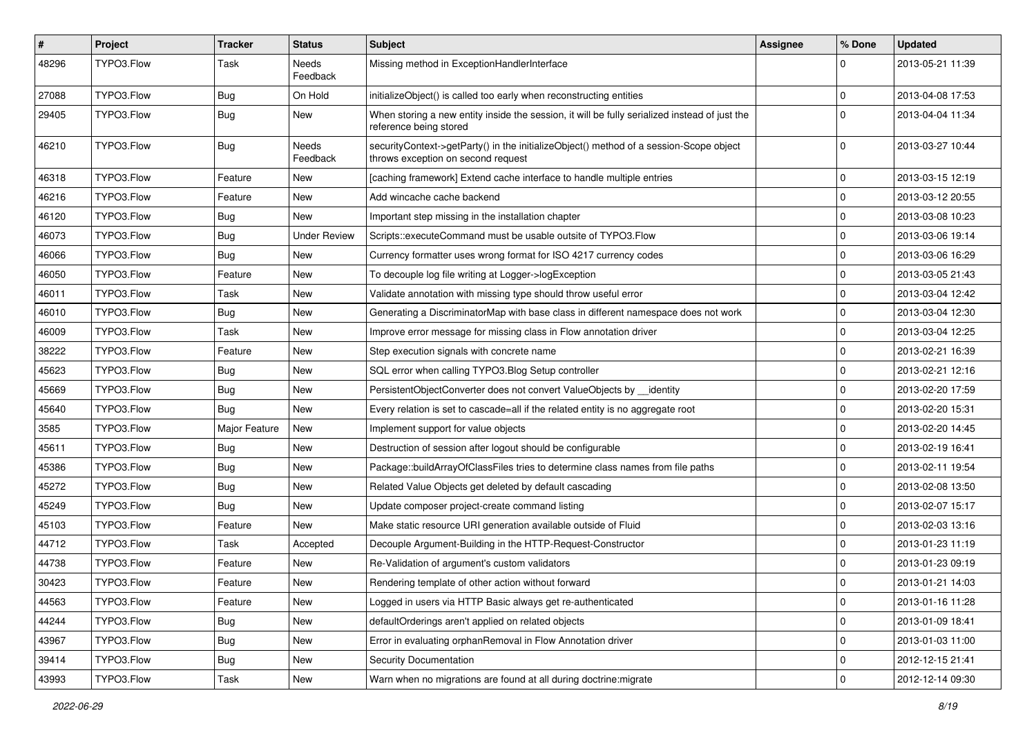| $\vert$ # | Project    | <b>Tracker</b> | <b>Status</b>       | Subject                                                                                                                      | <b>Assignee</b> | % Done      | <b>Updated</b>   |
|-----------|------------|----------------|---------------------|------------------------------------------------------------------------------------------------------------------------------|-----------------|-------------|------------------|
| 48296     | TYPO3.Flow | Task           | Needs<br>Feedback   | Missing method in ExceptionHandlerInterface                                                                                  |                 | $\Omega$    | 2013-05-21 11:39 |
| 27088     | TYPO3.Flow | Bug            | On Hold             | initializeObject() is called too early when reconstructing entities                                                          |                 | $\mathbf 0$ | 2013-04-08 17:53 |
| 29405     | TYPO3.Flow | <b>Bug</b>     | New                 | When storing a new entity inside the session, it will be fully serialized instead of just the<br>reference being stored      |                 | $\Omega$    | 2013-04-04 11:34 |
| 46210     | TYPO3.Flow | Bug            | Needs<br>Feedback   | securityContext->getParty() in the initializeObject() method of a session-Scope object<br>throws exception on second request |                 | $\Omega$    | 2013-03-27 10:44 |
| 46318     | TYPO3.Flow | Feature        | <b>New</b>          | [caching framework] Extend cache interface to handle multiple entries                                                        |                 | $\mathbf 0$ | 2013-03-15 12:19 |
| 46216     | TYPO3.Flow | Feature        | New                 | Add wincache cache backend                                                                                                   |                 | $\Omega$    | 2013-03-12 20:55 |
| 46120     | TYPO3.Flow | <b>Bug</b>     | <b>New</b>          | Important step missing in the installation chapter                                                                           |                 | $\mathbf 0$ | 2013-03-08 10:23 |
| 46073     | TYPO3.Flow | Bug            | <b>Under Review</b> | Scripts::executeCommand must be usable outsite of TYPO3.Flow                                                                 |                 | $\mathbf 0$ | 2013-03-06 19:14 |
| 46066     | TYPO3.Flow | Bug            | New                 | Currency formatter uses wrong format for ISO 4217 currency codes                                                             |                 | $\mathbf 0$ | 2013-03-06 16:29 |
| 46050     | TYPO3.Flow | Feature        | New                 | To decouple log file writing at Logger->logException                                                                         |                 | $\mathbf 0$ | 2013-03-05 21:43 |
| 46011     | TYPO3.Flow | Task           | New                 | Validate annotation with missing type should throw useful error                                                              |                 | $\mathbf 0$ | 2013-03-04 12:42 |
| 46010     | TYPO3.Flow | <b>Bug</b>     | New                 | Generating a DiscriminatorMap with base class in different namespace does not work                                           |                 | $\mathbf 0$ | 2013-03-04 12:30 |
| 46009     | TYPO3.Flow | Task           | New                 | Improve error message for missing class in Flow annotation driver                                                            |                 | $\mathbf 0$ | 2013-03-04 12:25 |
| 38222     | TYPO3.Flow | Feature        | New                 | Step execution signals with concrete name                                                                                    |                 | $\mathbf 0$ | 2013-02-21 16:39 |
| 45623     | TYPO3.Flow | Bug            | New                 | SQL error when calling TYPO3.Blog Setup controller                                                                           |                 | $\mathbf 0$ | 2013-02-21 12:16 |
| 45669     | TYPO3.Flow | <b>Bug</b>     | New                 | PersistentObjectConverter does not convert ValueObjects by identity                                                          |                 | $\mathbf 0$ | 2013-02-20 17:59 |
| 45640     | TYPO3.Flow | Bug            | New                 | Every relation is set to cascade=all if the related entity is no aggregate root                                              |                 | $\mathbf 0$ | 2013-02-20 15:31 |
| 3585      | TYPO3.Flow | Major Feature  | New                 | Implement support for value objects                                                                                          |                 | $\mathbf 0$ | 2013-02-20 14:45 |
| 45611     | TYPO3.Flow | Bug            | New                 | Destruction of session after logout should be configurable                                                                   |                 | $\mathbf 0$ | 2013-02-19 16:41 |
| 45386     | TYPO3.Flow | <b>Bug</b>     | New                 | Package::buildArrayOfClassFiles tries to determine class names from file paths                                               |                 | $\mathbf 0$ | 2013-02-11 19:54 |
| 45272     | TYPO3.Flow | Bug            | New                 | Related Value Objects get deleted by default cascading                                                                       |                 | $\mathbf 0$ | 2013-02-08 13:50 |
| 45249     | TYPO3.Flow | Bug            | New                 | Update composer project-create command listing                                                                               |                 | $\mathbf 0$ | 2013-02-07 15:17 |
| 45103     | TYPO3.Flow | Feature        | <b>New</b>          | Make static resource URI generation available outside of Fluid                                                               |                 | $\mathbf 0$ | 2013-02-03 13:16 |
| 44712     | TYPO3.Flow | Task           | Accepted            | Decouple Argument-Building in the HTTP-Request-Constructor                                                                   |                 | $\Omega$    | 2013-01-23 11:19 |
| 44738     | TYPO3.Flow | Feature        | New                 | Re-Validation of argument's custom validators                                                                                |                 | $\mathbf 0$ | 2013-01-23 09:19 |
| 30423     | TYPO3.Flow | Feature        | New                 | Rendering template of other action without forward                                                                           |                 | I٥          | 2013-01-21 14:03 |
| 44563     | TYPO3.Flow | Feature        | New                 | Logged in users via HTTP Basic always get re-authenticated                                                                   |                 | $\mathbf 0$ | 2013-01-16 11:28 |
| 44244     | TYPO3.Flow | <b>Bug</b>     | New                 | defaultOrderings aren't applied on related objects                                                                           |                 | 0           | 2013-01-09 18:41 |
| 43967     | TYPO3.Flow | <b>Bug</b>     | New                 | Error in evaluating orphanRemoval in Flow Annotation driver                                                                  |                 | $\mathbf 0$ | 2013-01-03 11:00 |
| 39414     | TYPO3.Flow | <b>Bug</b>     | New                 | Security Documentation                                                                                                       |                 | $\mathbf 0$ | 2012-12-15 21:41 |
| 43993     | TYPO3.Flow | Task           | New                 | Warn when no migrations are found at all during doctrine: migrate                                                            |                 | 0           | 2012-12-14 09:30 |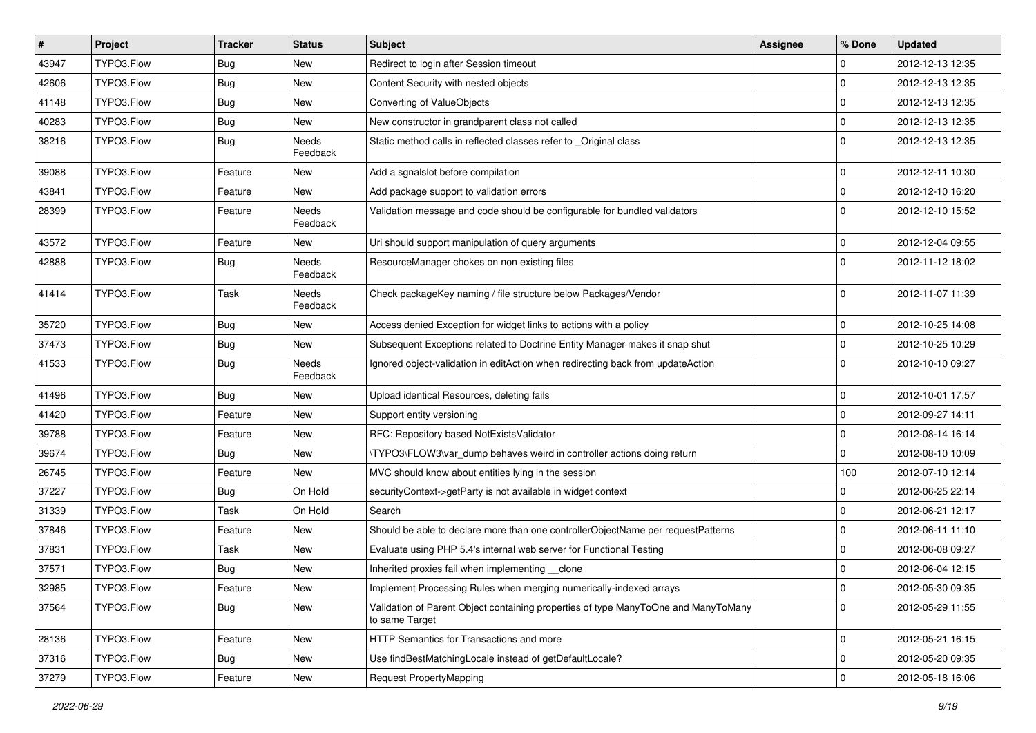| $\vert$ # | Project    | Tracker    | <b>Status</b>            | Subject                                                                                              | <b>Assignee</b> | % Done         | <b>Updated</b>   |
|-----------|------------|------------|--------------------------|------------------------------------------------------------------------------------------------------|-----------------|----------------|------------------|
| 43947     | TYPO3.Flow | <b>Bug</b> | New                      | Redirect to login after Session timeout                                                              |                 | $\mathbf 0$    | 2012-12-13 12:35 |
| 42606     | TYPO3.Flow | <b>Bug</b> | New                      | Content Security with nested objects                                                                 |                 | $\Omega$       | 2012-12-13 12:35 |
| 41148     | TYPO3.Flow | <b>Bug</b> | New                      | Converting of ValueObjects                                                                           |                 | $\overline{0}$ | 2012-12-13 12:35 |
| 40283     | TYPO3.Flow | <b>Bug</b> | New                      | New constructor in grandparent class not called                                                      |                 | 0              | 2012-12-13 12:35 |
| 38216     | TYPO3.Flow | <b>Bug</b> | <b>Needs</b><br>Feedback | Static method calls in reflected classes refer to _Original class                                    |                 | l 0            | 2012-12-13 12:35 |
| 39088     | TYPO3.Flow | Feature    | New                      | Add a sgnalslot before compilation                                                                   |                 | $\Omega$       | 2012-12-11 10:30 |
| 43841     | TYPO3.Flow | Feature    | New                      | Add package support to validation errors                                                             |                 | 0              | 2012-12-10 16:20 |
| 28399     | TYPO3.Flow | Feature    | Needs<br>Feedback        | Validation message and code should be configurable for bundled validators                            |                 | $\Omega$       | 2012-12-10 15:52 |
| 43572     | TYPO3.Flow | Feature    | New                      | Uri should support manipulation of query arguments                                                   |                 | 0              | 2012-12-04 09:55 |
| 42888     | TYPO3.Flow | <b>Bug</b> | Needs<br>Feedback        | ResourceManager chokes on non existing files                                                         |                 | l O            | 2012-11-12 18:02 |
| 41414     | TYPO3.Flow | Task       | Needs<br>Feedback        | Check packageKey naming / file structure below Packages/Vendor                                       |                 | $\Omega$       | 2012-11-07 11:39 |
| 35720     | TYPO3.Flow | <b>Bug</b> | New                      | Access denied Exception for widget links to actions with a policy                                    |                 | 0              | 2012-10-25 14:08 |
| 37473     | TYPO3.Flow | <b>Bug</b> | New                      | Subsequent Exceptions related to Doctrine Entity Manager makes it snap shut                          |                 | 0              | 2012-10-25 10:29 |
| 41533     | TYPO3.Flow | <b>Bug</b> | Needs<br>Feedback        | Ignored object-validation in editAction when redirecting back from updateAction                      |                 | $\Omega$       | 2012-10-10 09:27 |
| 41496     | TYPO3.Flow | <b>Bug</b> | New                      | Upload identical Resources, deleting fails                                                           |                 | $\mathbf 0$    | 2012-10-01 17:57 |
| 41420     | TYPO3.Flow | Feature    | New                      | Support entity versioning                                                                            |                 | l 0            | 2012-09-27 14:11 |
| 39788     | TYPO3.Flow | Feature    | New                      | RFC: Repository based NotExistsValidator                                                             |                 | $\Omega$       | 2012-08-14 16:14 |
| 39674     | TYPO3.Flow | <b>Bug</b> | New                      | \TYPO3\FLOW3\var dump behaves weird in controller actions doing return                               |                 | $\Omega$       | 2012-08-10 10:09 |
| 26745     | TYPO3.Flow | Feature    | New                      | MVC should know about entities lying in the session                                                  |                 | 100            | 2012-07-10 12:14 |
| 37227     | TYPO3.Flow | <b>Bug</b> | On Hold                  | securityContext->getParty is not available in widget context                                         |                 | $\Omega$       | 2012-06-25 22:14 |
| 31339     | TYPO3.Flow | Task       | On Hold                  | Search                                                                                               |                 | $\Omega$       | 2012-06-21 12:17 |
| 37846     | TYPO3.Flow | Feature    | New                      | Should be able to declare more than one controllerObjectName per requestPatterns                     |                 | $\overline{0}$ | 2012-06-11 11:10 |
| 37831     | TYPO3.Flow | Task       | New                      | Evaluate using PHP 5.4's internal web server for Functional Testing                                  |                 | $\overline{0}$ | 2012-06-08 09:27 |
| 37571     | TYPO3.Flow | <b>Bug</b> | New                      | Inherited proxies fail when implementing __clone                                                     |                 | 0              | 2012-06-04 12:15 |
| 32985     | TYPO3.Flow | Feature    | New                      | Implement Processing Rules when merging numerically-indexed arrays                                   |                 | O              | 2012-05-30 09:35 |
| 37564     | TYPO3.Flow | <b>Bug</b> | New                      | Validation of Parent Object containing properties of type ManyToOne and ManyToMany<br>to same Target |                 | $\overline{0}$ | 2012-05-29 11:55 |
| 28136     | TYPO3.Flow | Feature    | New                      | HTTP Semantics for Transactions and more                                                             |                 | 0              | 2012-05-21 16:15 |
| 37316     | TYPO3.Flow | Bug        | New                      | Use findBestMatchingLocale instead of getDefaultLocale?                                              |                 | 0              | 2012-05-20 09:35 |
| 37279     | TYPO3.Flow | Feature    | New                      | Request PropertyMapping                                                                              |                 | 0              | 2012-05-18 16:06 |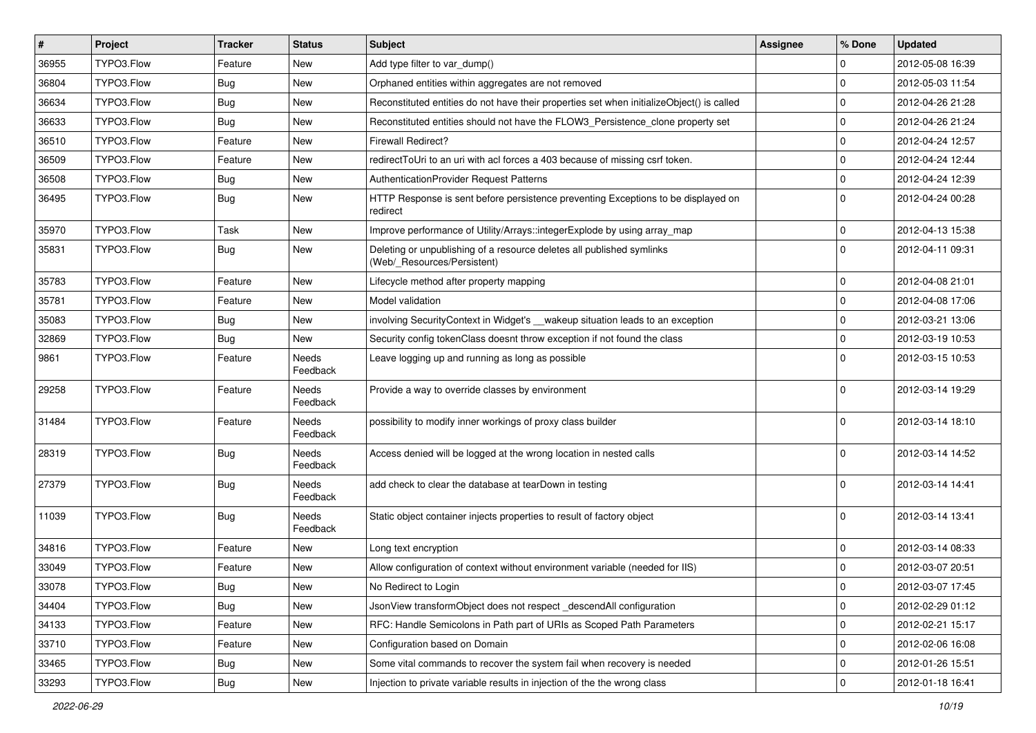| #     | Project    | <b>Tracker</b> | <b>Status</b>     | <b>Subject</b>                                                                                       | <b>Assignee</b> | % Done      | <b>Updated</b>   |
|-------|------------|----------------|-------------------|------------------------------------------------------------------------------------------------------|-----------------|-------------|------------------|
| 36955 | TYPO3.Flow | Feature        | New               | Add type filter to var dump()                                                                        |                 | $\Omega$    | 2012-05-08 16:39 |
| 36804 | TYPO3.Flow | Bug            | New               | Orphaned entities within aggregates are not removed                                                  |                 | $\Omega$    | 2012-05-03 11:54 |
| 36634 | TYPO3.Flow | Bug            | New               | Reconstituted entities do not have their properties set when initializeObject() is called            |                 | $\Omega$    | 2012-04-26 21:28 |
| 36633 | TYPO3.Flow | Bug            | New               | Reconstituted entities should not have the FLOW3_Persistence_clone property set                      |                 | 0           | 2012-04-26 21:24 |
| 36510 | TYPO3.Flow | Feature        | New               | <b>Firewall Redirect?</b>                                                                            |                 | 0           | 2012-04-24 12:57 |
| 36509 | TYPO3.Flow | Feature        | New               | redirect ToUri to an uri with acl forces a 403 because of missing csrf token.                        |                 | $\mathbf 0$ | 2012-04-24 12:44 |
| 36508 | TYPO3.Flow | Bug            | New               | <b>AuthenticationProvider Request Patterns</b>                                                       |                 | $\Omega$    | 2012-04-24 12:39 |
| 36495 | TYPO3.Flow | Bug            | New               | HTTP Response is sent before persistence preventing Exceptions to be displayed on<br>redirect        |                 | $\Omega$    | 2012-04-24 00:28 |
| 35970 | TYPO3.Flow | Task           | New               | Improve performance of Utility/Arrays::integerExplode by using array_map                             |                 | $\mathbf 0$ | 2012-04-13 15:38 |
| 35831 | TYPO3.Flow | Bug            | New               | Deleting or unpublishing of a resource deletes all published symlinks<br>(Web/_Resources/Persistent) |                 | $\Omega$    | 2012-04-11 09:31 |
| 35783 | TYPO3.Flow | Feature        | New               | Lifecycle method after property mapping                                                              |                 | 0           | 2012-04-08 21:01 |
| 35781 | TYPO3.Flow | Feature        | New               | Model validation                                                                                     |                 | $\mathbf 0$ | 2012-04-08 17:06 |
| 35083 | TYPO3.Flow | Bug            | New               | involving SecurityContext in Widget's __wakeup situation leads to an exception                       |                 | $\mathbf 0$ | 2012-03-21 13:06 |
| 32869 | TYPO3.Flow | Bug            | New               | Security config tokenClass doesnt throw exception if not found the class                             |                 | 0           | 2012-03-19 10:53 |
| 9861  | TYPO3.Flow | Feature        | Needs<br>Feedback | Leave logging up and running as long as possible                                                     |                 | $\Omega$    | 2012-03-15 10:53 |
| 29258 | TYPO3.Flow | Feature        | Needs<br>Feedback | Provide a way to override classes by environment                                                     |                 | $\Omega$    | 2012-03-14 19:29 |
| 31484 | TYPO3.Flow | Feature        | Needs<br>Feedback | possibility to modify inner workings of proxy class builder                                          |                 | $\Omega$    | 2012-03-14 18:10 |
| 28319 | TYPO3.Flow | Bug            | Needs<br>Feedback | Access denied will be logged at the wrong location in nested calls                                   |                 | $\Omega$    | 2012-03-14 14:52 |
| 27379 | TYPO3.Flow | Bug            | Needs<br>Feedback | add check to clear the database at tearDown in testing                                               |                 | $\Omega$    | 2012-03-14 14:41 |
| 11039 | TYPO3.Flow | Bug            | Needs<br>Feedback | Static object container injects properties to result of factory object                               |                 | $\Omega$    | 2012-03-14 13:41 |
| 34816 | TYPO3.Flow | Feature        | New               | Long text encryption                                                                                 |                 | $\mathbf 0$ | 2012-03-14 08:33 |
| 33049 | TYPO3.Flow | Feature        | New               | Allow configuration of context without environment variable (needed for IIS)                         |                 | 0           | 2012-03-07 20:51 |
| 33078 | TYPO3.Flow | Bug            | New               | No Redirect to Login                                                                                 |                 | 0           | 2012-03-07 17:45 |
| 34404 | TYPO3.Flow | <b>Bug</b>     | New               | JsonView transformObject does not respect descendAll configuration                                   |                 | $\mathbf 0$ | 2012-02-29 01:12 |
| 34133 | TYPO3.Flow | Feature        | New               | RFC: Handle Semicolons in Path part of URIs as Scoped Path Parameters                                |                 | $\mathbf 0$ | 2012-02-21 15:17 |
| 33710 | TYPO3.Flow | Feature        | New               | Configuration based on Domain                                                                        |                 | $\mathbf 0$ | 2012-02-06 16:08 |
| 33465 | TYPO3.Flow | Bug            | New               | Some vital commands to recover the system fail when recovery is needed                               |                 | 0           | 2012-01-26 15:51 |
| 33293 | TYPO3.Flow | Bug            | New               | Injection to private variable results in injection of the the wrong class                            |                 | $\mathsf 0$ | 2012-01-18 16:41 |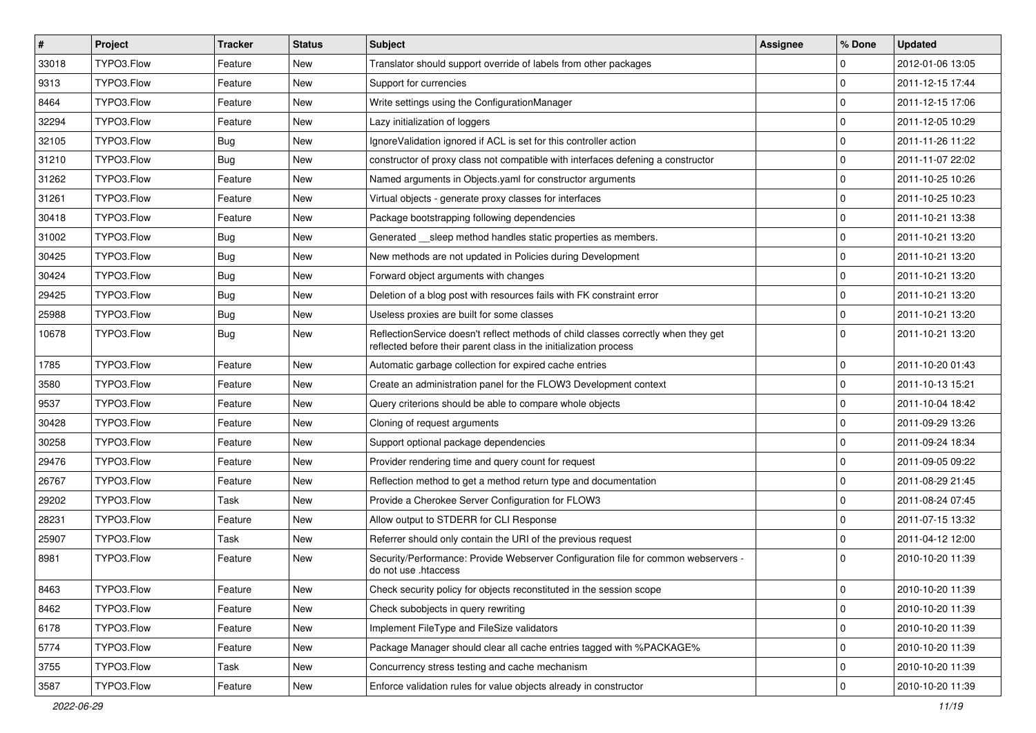| $\vert$ # | Project    | <b>Tracker</b> | <b>Status</b> | Subject                                                                                                                                                 | Assignee | % Done      | <b>Updated</b>   |
|-----------|------------|----------------|---------------|---------------------------------------------------------------------------------------------------------------------------------------------------------|----------|-------------|------------------|
| 33018     | TYPO3.Flow | Feature        | New           | Translator should support override of labels from other packages                                                                                        |          | 0           | 2012-01-06 13:05 |
| 9313      | TYPO3.Flow | Feature        | <b>New</b>    | Support for currencies                                                                                                                                  |          | $\mathbf 0$ | 2011-12-15 17:44 |
| 8464      | TYPO3.Flow | Feature        | New           | Write settings using the ConfigurationManager                                                                                                           |          | 0           | 2011-12-15 17:06 |
| 32294     | TYPO3.Flow | Feature        | New           | Lazy initialization of loggers                                                                                                                          |          | 0           | 2011-12-05 10:29 |
| 32105     | TYPO3.Flow | <b>Bug</b>     | New           | Ignore Validation ignored if ACL is set for this controller action                                                                                      |          | 0           | 2011-11-26 11:22 |
| 31210     | TYPO3.Flow | <b>Bug</b>     | New           | constructor of proxy class not compatible with interfaces defening a constructor                                                                        |          | $\mathbf 0$ | 2011-11-07 22:02 |
| 31262     | TYPO3.Flow | Feature        | New           | Named arguments in Objects.yaml for constructor arguments                                                                                               |          | $\mathbf 0$ | 2011-10-25 10:26 |
| 31261     | TYPO3.Flow | Feature        | New           | Virtual objects - generate proxy classes for interfaces                                                                                                 |          | 0           | 2011-10-25 10:23 |
| 30418     | TYPO3.Flow | Feature        | New           | Package bootstrapping following dependencies                                                                                                            |          | 0           | 2011-10-21 13:38 |
| 31002     | TYPO3.Flow | <b>Bug</b>     | New           | Generated __sleep method handles static properties as members.                                                                                          |          | 0           | 2011-10-21 13:20 |
| 30425     | TYPO3.Flow | <b>Bug</b>     | New           | New methods are not updated in Policies during Development                                                                                              |          | $\mathbf 0$ | 2011-10-21 13:20 |
| 30424     | TYPO3.Flow | <b>Bug</b>     | New           | Forward object arguments with changes                                                                                                                   |          | 0           | 2011-10-21 13:20 |
| 29425     | TYPO3.Flow | <b>Bug</b>     | New           | Deletion of a blog post with resources fails with FK constraint error                                                                                   |          | $\mathbf 0$ | 2011-10-21 13:20 |
| 25988     | TYPO3.Flow | Bug            | New           | Useless proxies are built for some classes                                                                                                              |          | $\mathbf 0$ | 2011-10-21 13:20 |
| 10678     | TYPO3.Flow | <b>Bug</b>     | New           | ReflectionService doesn't reflect methods of child classes correctly when they get<br>reflected before their parent class in the initialization process |          | 0           | 2011-10-21 13:20 |
| 1785      | TYPO3.Flow | Feature        | <b>New</b>    | Automatic garbage collection for expired cache entries                                                                                                  |          | 0           | 2011-10-20 01:43 |
| 3580      | TYPO3.Flow | Feature        | New           | Create an administration panel for the FLOW3 Development context                                                                                        |          | 0           | 2011-10-13 15:21 |
| 9537      | TYPO3.Flow | Feature        | New           | Query criterions should be able to compare whole objects                                                                                                |          | $\mathbf 0$ | 2011-10-04 18:42 |
| 30428     | TYPO3.Flow | Feature        | <b>New</b>    | Cloning of request arguments                                                                                                                            |          | 0           | 2011-09-29 13:26 |
| 30258     | TYPO3.Flow | Feature        | New           | Support optional package dependencies                                                                                                                   |          | 0           | 2011-09-24 18:34 |
| 29476     | TYPO3.Flow | Feature        | New           | Provider rendering time and query count for request                                                                                                     |          | 0           | 2011-09-05 09:22 |
| 26767     | TYPO3.Flow | Feature        | <b>New</b>    | Reflection method to get a method return type and documentation                                                                                         |          | 0           | 2011-08-29 21:45 |
| 29202     | TYPO3.Flow | Task           | New           | Provide a Cherokee Server Configuration for FLOW3                                                                                                       |          | $\mathbf 0$ | 2011-08-24 07:45 |
| 28231     | TYPO3.Flow | Feature        | New           | Allow output to STDERR for CLI Response                                                                                                                 |          | 0           | 2011-07-15 13:32 |
| 25907     | TYPO3.Flow | Task           | New           | Referrer should only contain the URI of the previous request                                                                                            |          | 0           | 2011-04-12 12:00 |
| 8981      | TYPO3.Flow | Feature        | New           | Security/Performance: Provide Webserver Configuration file for common webservers -<br>do not use .htaccess                                              |          | $\Omega$    | 2010-10-20 11:39 |
| 8463      | TYPO3.Flow | Feature        | New           | Check security policy for objects reconstituted in the session scope                                                                                    |          | $\pmb{0}$   | 2010-10-20 11:39 |
| 8462      | TYPO3.Flow | Feature        | New           | Check subobjects in query rewriting                                                                                                                     |          | 0           | 2010-10-20 11:39 |
| 6178      | TYPO3.Flow | Feature        | New           | Implement FileType and FileSize validators                                                                                                              |          | 0           | 2010-10-20 11:39 |
| 5774      | TYPO3.Flow | Feature        | New           | Package Manager should clear all cache entries tagged with %PACKAGE%                                                                                    |          | 0           | 2010-10-20 11:39 |
| 3755      | TYPO3.Flow | Task           | New           | Concurrency stress testing and cache mechanism                                                                                                          |          | 0           | 2010-10-20 11:39 |
| 3587      | TYPO3.Flow | Feature        | New           | Enforce validation rules for value objects already in constructor                                                                                       |          | $\mathbf 0$ | 2010-10-20 11:39 |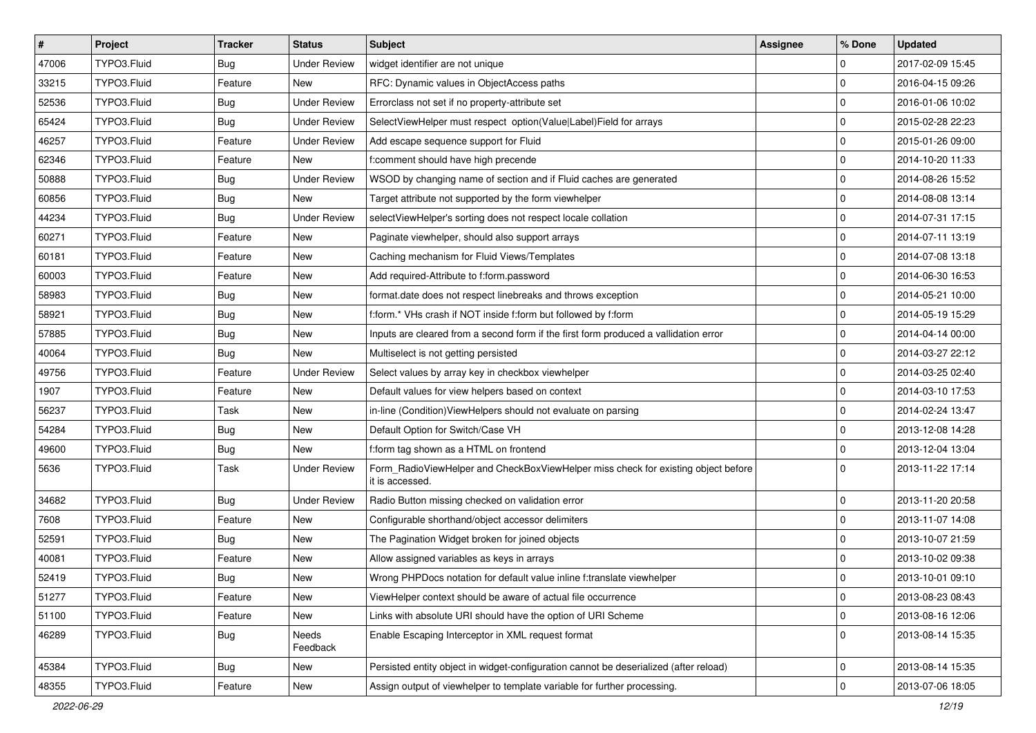| $\pmb{\#}$ | Project     | <b>Tracker</b> | <b>Status</b>       | Subject                                                                                              | <b>Assignee</b> | % Done              | <b>Updated</b>   |
|------------|-------------|----------------|---------------------|------------------------------------------------------------------------------------------------------|-----------------|---------------------|------------------|
| 47006      | TYPO3.Fluid | <b>Bug</b>     | <b>Under Review</b> | widget identifier are not unique                                                                     |                 | $\mathbf 0$         | 2017-02-09 15:45 |
| 33215      | TYPO3.Fluid | Feature        | <b>New</b>          | RFC: Dynamic values in ObjectAccess paths                                                            |                 | $\mathbf 0$         | 2016-04-15 09:26 |
| 52536      | TYPO3.Fluid | <b>Bug</b>     | <b>Under Review</b> | Errorclass not set if no property-attribute set                                                      |                 | $\mathbf 0$         | 2016-01-06 10:02 |
| 65424      | TYPO3.Fluid | <b>Bug</b>     | <b>Under Review</b> | SelectViewHelper must respect option(Value Label)Field for arrays                                    |                 | $\mathbf 0$         | 2015-02-28 22:23 |
| 46257      | TYPO3.Fluid | Feature        | <b>Under Review</b> | Add escape sequence support for Fluid                                                                |                 | $\mathbf 0$         | 2015-01-26 09:00 |
| 62346      | TYPO3.Fluid | Feature        | New                 | f:comment should have high precende                                                                  |                 | $\mathbf 0$         | 2014-10-20 11:33 |
| 50888      | TYPO3.Fluid | <b>Bug</b>     | <b>Under Review</b> | WSOD by changing name of section and if Fluid caches are generated                                   |                 | $\mathbf 0$         | 2014-08-26 15:52 |
| 60856      | TYPO3.Fluid | <b>Bug</b>     | New                 | Target attribute not supported by the form viewhelper                                                |                 | $\mathbf 0$         | 2014-08-08 13:14 |
| 44234      | TYPO3.Fluid | <b>Bug</b>     | <b>Under Review</b> | selectViewHelper's sorting does not respect locale collation                                         |                 | $\mathbf 0$         | 2014-07-31 17:15 |
| 60271      | TYPO3.Fluid | Feature        | New                 | Paginate viewhelper, should also support arrays                                                      |                 | $\mathbf 0$         | 2014-07-11 13:19 |
| 60181      | TYPO3.Fluid | Feature        | New                 | Caching mechanism for Fluid Views/Templates                                                          |                 | $\mathbf 0$         | 2014-07-08 13:18 |
| 60003      | TYPO3.Fluid | Feature        | New                 | Add required-Attribute to f:form.password                                                            |                 | $\mathbf 0$         | 2014-06-30 16:53 |
| 58983      | TYPO3.Fluid | <b>Bug</b>     | New                 | format.date does not respect linebreaks and throws exception                                         |                 | $\mathbf 0$         | 2014-05-21 10:00 |
| 58921      | TYPO3.Fluid | <b>Bug</b>     | New                 | f:form.* VHs crash if NOT inside f:form but followed by f:form                                       |                 | $\mathbf 0$         | 2014-05-19 15:29 |
| 57885      | TYPO3.Fluid | <b>Bug</b>     | New                 | Inputs are cleared from a second form if the first form produced a vallidation error                 |                 | $\mathbf 0$         | 2014-04-14 00:00 |
| 40064      | TYPO3.Fluid | <b>Bug</b>     | New                 | Multiselect is not getting persisted                                                                 |                 | $\mathbf 0$         | 2014-03-27 22:12 |
| 49756      | TYPO3.Fluid | Feature        | <b>Under Review</b> | Select values by array key in checkbox viewhelper                                                    |                 | $\mathbf 0$         | 2014-03-25 02:40 |
| 1907       | TYPO3.Fluid | Feature        | New                 | Default values for view helpers based on context                                                     |                 | $\mathbf 0$         | 2014-03-10 17:53 |
| 56237      | TYPO3.Fluid | Task           | New                 | in-line (Condition) ViewHelpers should not evaluate on parsing                                       |                 | $\mathbf 0$         | 2014-02-24 13:47 |
| 54284      | TYPO3.Fluid | <b>Bug</b>     | New                 | Default Option for Switch/Case VH                                                                    |                 | $\mathbf 0$         | 2013-12-08 14:28 |
| 49600      | TYPO3.Fluid | <b>Bug</b>     | New                 | f:form tag shown as a HTML on frontend                                                               |                 | $\mathbf 0$         | 2013-12-04 13:04 |
| 5636       | TYPO3.Fluid | Task           | <b>Under Review</b> | Form_RadioViewHelper and CheckBoxViewHelper miss check for existing object before<br>it is accessed. |                 | $\Omega$            | 2013-11-22 17:14 |
| 34682      | TYPO3.Fluid | <b>Bug</b>     | <b>Under Review</b> | Radio Button missing checked on validation error                                                     |                 | $\mathbf 0$         | 2013-11-20 20:58 |
| 7608       | TYPO3.Fluid | Feature        | New                 | Configurable shorthand/object accessor delimiters                                                    |                 | $\mathbf 0$         | 2013-11-07 14:08 |
| 52591      | TYPO3.Fluid | <b>Bug</b>     | New                 | The Pagination Widget broken for joined objects                                                      |                 | $\mathbf 0$         | 2013-10-07 21:59 |
| 40081      | TYPO3.Fluid | Feature        | New                 | Allow assigned variables as keys in arrays                                                           |                 | $\mathbf 0$         | 2013-10-02 09:38 |
| 52419      | TYPO3.Fluid | Bug            | New                 | Wrong PHPDocs notation for default value inline f:translate viewhelper                               |                 | $\mathbf 0$         | 2013-10-01 09:10 |
| 51277      | TYPO3.Fluid | Feature        | New                 | ViewHelper context should be aware of actual file occurrence                                         |                 | 0                   | 2013-08-23 08:43 |
| 51100      | TYPO3.Fluid | Feature        | New                 | Links with absolute URI should have the option of URI Scheme                                         |                 | $\pmb{0}$           | 2013-08-16 12:06 |
| 46289      | TYPO3.Fluid | <b>Bug</b>     | Needs<br>Feedback   | Enable Escaping Interceptor in XML request format                                                    |                 | $\mathbf 0$         | 2013-08-14 15:35 |
| 45384      | TYPO3.Fluid | <b>Bug</b>     | New                 | Persisted entity object in widget-configuration cannot be deserialized (after reload)                |                 | $\mathsf 0$         | 2013-08-14 15:35 |
| 48355      | TYPO3.Fluid | Feature        | New                 | Assign output of viewhelper to template variable for further processing.                             |                 | $\mathsf{O}\xspace$ | 2013-07-06 18:05 |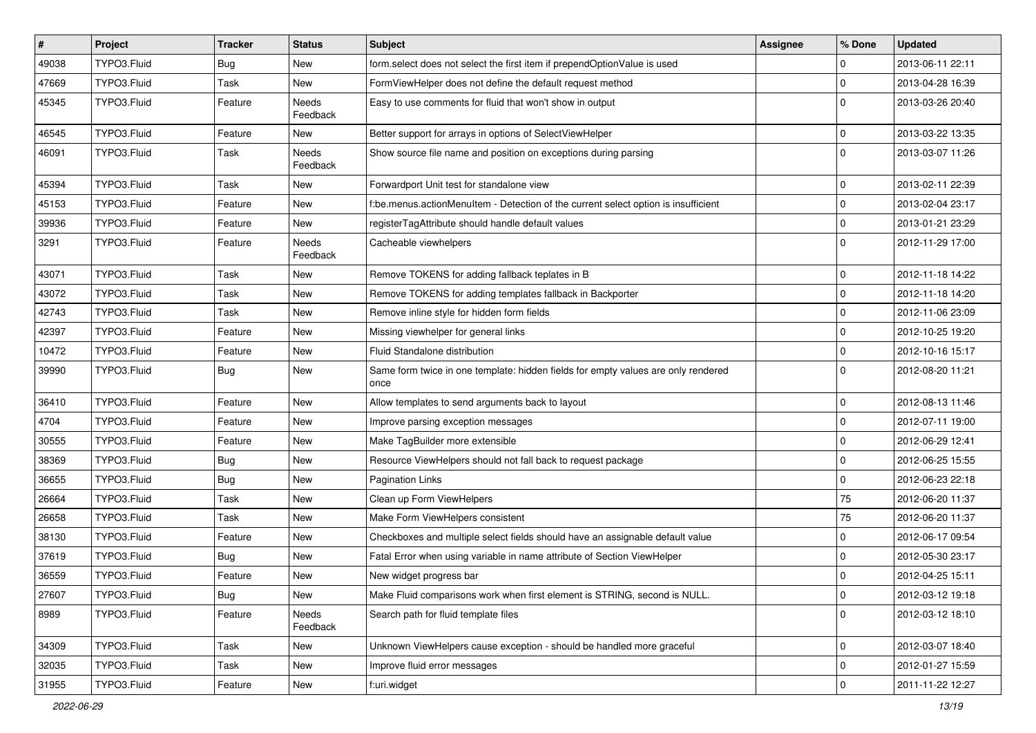| $\vert$ # | Project     | <b>Tracker</b> | <b>Status</b>     | Subject                                                                                   | <b>Assignee</b> | % Done       | <b>Updated</b>   |
|-----------|-------------|----------------|-------------------|-------------------------------------------------------------------------------------------|-----------------|--------------|------------------|
| 49038     | TYPO3.Fluid | Bug            | New               | form select does not select the first item if prependOptionValue is used                  |                 | 0            | 2013-06-11 22:11 |
| 47669     | TYPO3.Fluid | Task           | New               | FormViewHelper does not define the default request method                                 |                 | 0            | 2013-04-28 16:39 |
| 45345     | TYPO3.Fluid | Feature        | Needs<br>Feedback | Easy to use comments for fluid that won't show in output                                  |                 | $\Omega$     | 2013-03-26 20:40 |
| 46545     | TYPO3.Fluid | Feature        | New               | Better support for arrays in options of SelectViewHelper                                  |                 | $\mathbf 0$  | 2013-03-22 13:35 |
| 46091     | TYPO3.Fluid | Task           | Needs<br>Feedback | Show source file name and position on exceptions during parsing                           |                 | $\mathbf 0$  | 2013-03-07 11:26 |
| 45394     | TYPO3.Fluid | Task           | New               | Forwardport Unit test for standalone view                                                 |                 | $\mathbf 0$  | 2013-02-11 22:39 |
| 45153     | TYPO3.Fluid | Feature        | New               | f:be.menus.actionMenuItem - Detection of the current select option is insufficient        |                 | 0            | 2013-02-04 23:17 |
| 39936     | TYPO3.Fluid | Feature        | New               | registerTagAttribute should handle default values                                         |                 | 0            | 2013-01-21 23:29 |
| 3291      | TYPO3.Fluid | Feature        | Needs<br>Feedback | Cacheable viewhelpers                                                                     |                 | $\Omega$     | 2012-11-29 17:00 |
| 43071     | TYPO3.Fluid | Task           | New               | Remove TOKENS for adding fallback teplates in B                                           |                 | $\mathbf 0$  | 2012-11-18 14:22 |
| 43072     | TYPO3.Fluid | Task           | New               | Remove TOKENS for adding templates fallback in Backporter                                 |                 | 0            | 2012-11-18 14:20 |
| 42743     | TYPO3.Fluid | Task           | New               | Remove inline style for hidden form fields                                                |                 | 0            | 2012-11-06 23:09 |
| 42397     | TYPO3.Fluid | Feature        | New               | Missing viewhelper for general links                                                      |                 | 0            | 2012-10-25 19:20 |
| 10472     | TYPO3.Fluid | Feature        | New               | Fluid Standalone distribution                                                             |                 | 0            | 2012-10-16 15:17 |
| 39990     | TYPO3.Fluid | Bug            | New               | Same form twice in one template: hidden fields for empty values are only rendered<br>once |                 | $\Omega$     | 2012-08-20 11:21 |
| 36410     | TYPO3.Fluid | Feature        | New               | Allow templates to send arguments back to layout                                          |                 | 0            | 2012-08-13 11:46 |
| 4704      | TYPO3.Fluid | Feature        | New               | Improve parsing exception messages                                                        |                 | $\mathbf 0$  | 2012-07-11 19:00 |
| 30555     | TYPO3.Fluid | Feature        | New               | Make TagBuilder more extensible                                                           |                 | 0            | 2012-06-29 12:41 |
| 38369     | TYPO3.Fluid | <b>Bug</b>     | New               | Resource ViewHelpers should not fall back to request package                              |                 | 0            | 2012-06-25 15:55 |
| 36655     | TYPO3.Fluid | Bug            | New               | <b>Pagination Links</b>                                                                   |                 | 0            | 2012-06-23 22:18 |
| 26664     | TYPO3.Fluid | Task           | New               | Clean up Form ViewHelpers                                                                 |                 | 75           | 2012-06-20 11:37 |
| 26658     | TYPO3.Fluid | Task           | New               | Make Form ViewHelpers consistent                                                          |                 | 75           | 2012-06-20 11:37 |
| 38130     | TYPO3.Fluid | Feature        | New               | Checkboxes and multiple select fields should have an assignable default value             |                 | $\mathbf 0$  | 2012-06-17 09:54 |
| 37619     | TYPO3.Fluid | Bug            | New               | Fatal Error when using variable in name attribute of Section ViewHelper                   |                 | $\mathbf 0$  | 2012-05-30 23:17 |
| 36559     | TYPO3.Fluid | Feature        | New               | New widget progress bar                                                                   |                 | 0            | 2012-04-25 15:11 |
| 27607     | TYPO3.Fluid | <b>Bug</b>     | New               | Make Fluid comparisons work when first element is STRING, second is NULL.                 |                 | 0            | 2012-03-12 19:18 |
| 8989      | TYPO3.Fluid | Feature        | Needs<br>Feedback | Search path for fluid template files                                                      |                 | $\mathbf{0}$ | 2012-03-12 18:10 |
| 34309     | TYPO3.Fluid | Task           | New               | Unknown ViewHelpers cause exception - should be handled more graceful                     |                 | 0            | 2012-03-07 18:40 |
| 32035     | TYPO3.Fluid | Task           | New               | Improve fluid error messages                                                              |                 | 0            | 2012-01-27 15:59 |
| 31955     | TYPO3.Fluid | Feature        | New               | f:uri.widget                                                                              |                 | 0            | 2011-11-22 12:27 |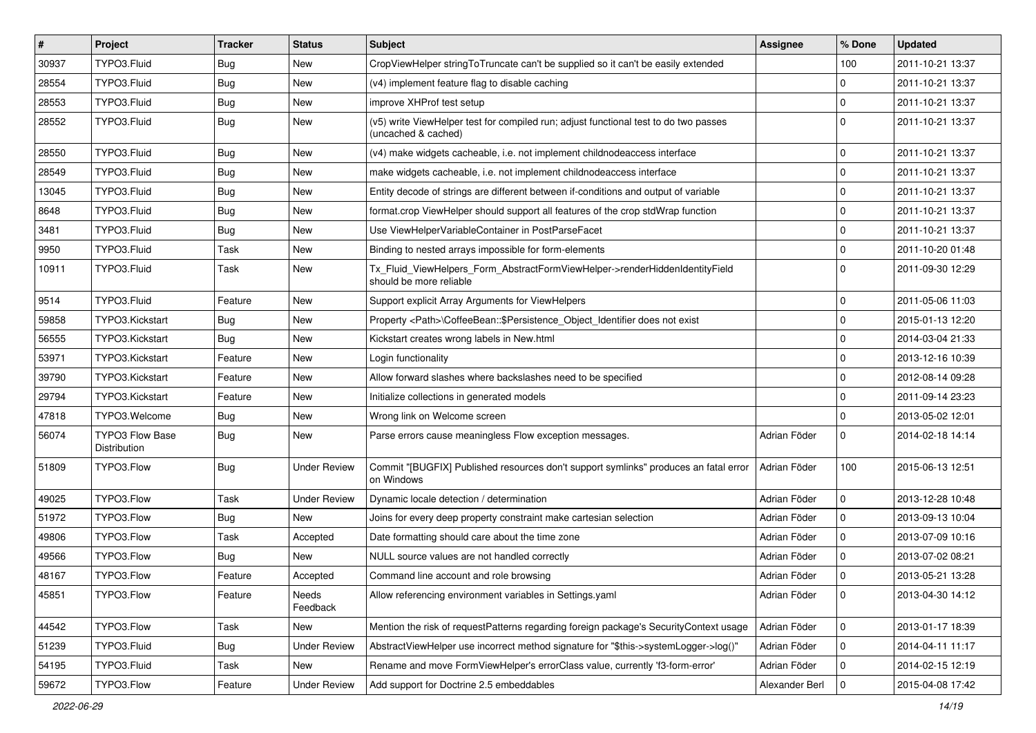| #     | Project                                | <b>Tracker</b> | <b>Status</b>       | <b>Subject</b>                                                                                              | <b>Assignee</b> | % Done      | <b>Updated</b>   |
|-------|----------------------------------------|----------------|---------------------|-------------------------------------------------------------------------------------------------------------|-----------------|-------------|------------------|
| 30937 | TYPO3.Fluid                            | Bug            | New                 | CropViewHelper stringToTruncate can't be supplied so it can't be easily extended                            |                 | 100         | 2011-10-21 13:37 |
| 28554 | TYPO3.Fluid                            | Bug            | <b>New</b>          | (v4) implement feature flag to disable caching                                                              |                 | $\mathbf 0$ | 2011-10-21 13:37 |
| 28553 | TYPO3.Fluid                            | Bug            | New                 | improve XHProf test setup                                                                                   |                 | $\mathbf 0$ | 2011-10-21 13:37 |
| 28552 | TYPO3.Fluid                            | Bug            | New                 | (v5) write ViewHelper test for compiled run; adjust functional test to do two passes<br>(uncached & cached) |                 | $\Omega$    | 2011-10-21 13:37 |
| 28550 | TYPO3.Fluid                            | Bug            | <b>New</b>          | (v4) make widgets cacheable, i.e. not implement childnodeaccess interface                                   |                 | $\mathbf 0$ | 2011-10-21 13:37 |
| 28549 | TYPO3.Fluid                            | Bug            | New                 | make widgets cacheable, i.e. not implement childnodeaccess interface                                        |                 | $\mathbf 0$ | 2011-10-21 13:37 |
| 13045 | TYPO3.Fluid                            | Bug            | New                 | Entity decode of strings are different between if-conditions and output of variable                         |                 | $\mathbf 0$ | 2011-10-21 13:37 |
| 8648  | TYPO3.Fluid                            | Bug            | New                 | format.crop ViewHelper should support all features of the crop stdWrap function                             |                 | $\mathbf 0$ | 2011-10-21 13:37 |
| 3481  | TYPO3.Fluid                            | <b>Bug</b>     | New                 | Use ViewHelperVariableContainer in PostParseFacet                                                           |                 | $\mathbf 0$ | 2011-10-21 13:37 |
| 9950  | TYPO3.Fluid                            | Task           | New                 | Binding to nested arrays impossible for form-elements                                                       |                 | $\mathbf 0$ | 2011-10-20 01:48 |
| 10911 | TYPO3.Fluid                            | Task           | New                 | Tx_Fluid_ViewHelpers_Form_AbstractFormViewHelper->renderHiddenIdentityField<br>should be more reliable      |                 | $\Omega$    | 2011-09-30 12:29 |
| 9514  | TYPO3.Fluid                            | Feature        | New                 | Support explicit Array Arguments for ViewHelpers                                                            |                 | $\mathbf 0$ | 2011-05-06 11:03 |
| 59858 | TYPO3.Kickstart                        | Bug            | New                 | Property <path>\CoffeeBean::\$Persistence_Object_Identifier does not exist</path>                           |                 | $\mathbf 0$ | 2015-01-13 12:20 |
| 56555 | TYPO3.Kickstart                        | Bug            | New                 | Kickstart creates wrong labels in New.html                                                                  |                 | $\mathbf 0$ | 2014-03-04 21:33 |
| 53971 | TYPO3.Kickstart                        | Feature        | New                 | Login functionality                                                                                         |                 | $\mathbf 0$ | 2013-12-16 10:39 |
| 39790 | TYPO3.Kickstart                        | Feature        | New                 | Allow forward slashes where backslashes need to be specified                                                |                 | $\mathbf 0$ | 2012-08-14 09:28 |
| 29794 | TYPO3.Kickstart                        | Feature        | New                 | Initialize collections in generated models                                                                  |                 | $\mathbf 0$ | 2011-09-14 23:23 |
| 47818 | TYPO3.Welcome                          | Bug            | New                 | Wrong link on Welcome screen                                                                                |                 | $\mathbf 0$ | 2013-05-02 12:01 |
| 56074 | <b>TYPO3 Flow Base</b><br>Distribution | Bug            | New                 | Parse errors cause meaningless Flow exception messages.                                                     | Adrian Föder    | $\mathbf 0$ | 2014-02-18 14:14 |
| 51809 | TYPO3.Flow                             | Bug            | <b>Under Review</b> | Commit "[BUGFIX] Published resources don't support symlinks" produces an fatal error<br>on Windows          | Adrian Föder    | 100         | 2015-06-13 12:51 |
| 49025 | TYPO3.Flow                             | Task           | <b>Under Review</b> | Dynamic locale detection / determination                                                                    | Adrian Föder    | 0           | 2013-12-28 10:48 |
| 51972 | TYPO3.Flow                             | Bug            | New                 | Joins for every deep property constraint make cartesian selection                                           | Adrian Föder    | 0           | 2013-09-13 10:04 |
| 49806 | TYPO3.Flow                             | Task           | Accepted            | Date formatting should care about the time zone                                                             | Adrian Föder    | $\mathbf 0$ | 2013-07-09 10:16 |
| 49566 | TYPO3.Flow                             | Bug            | New                 | NULL source values are not handled correctly                                                                | Adrian Föder    | $\mathbf 0$ | 2013-07-02 08:21 |
| 48167 | TYPO3.Flow                             | Feature        | Accepted            | Command line account and role browsing                                                                      | Adrian Föder    | $\mathbf 0$ | 2013-05-21 13:28 |
| 45851 | TYPO3.Flow                             | Feature        | Needs<br>Feedback   | Allow referencing environment variables in Settings.yaml                                                    | Adrian Föder    | 0           | 2013-04-30 14:12 |
| 44542 | TYPO3.Flow                             | Task           | New                 | Mention the risk of requestPatterns regarding foreign package's SecurityContext usage                       | Adrian Föder    | 0           | 2013-01-17 18:39 |
| 51239 | TYPO3.Fluid                            | Bug            | <b>Under Review</b> | AbstractViewHelper use incorrect method signature for "\$this->systemLogger->log()"                         | Adrian Föder    | 0           | 2014-04-11 11:17 |
| 54195 | TYPO3.Fluid                            | Task           | New                 | Rename and move FormViewHelper's errorClass value, currently 'f3-form-error'                                | Adrian Föder    | 0           | 2014-02-15 12:19 |
| 59672 | TYPO3.Flow                             | Feature        | <b>Under Review</b> | Add support for Doctrine 2.5 embeddables                                                                    | Alexander Berl  | 0           | 2015-04-08 17:42 |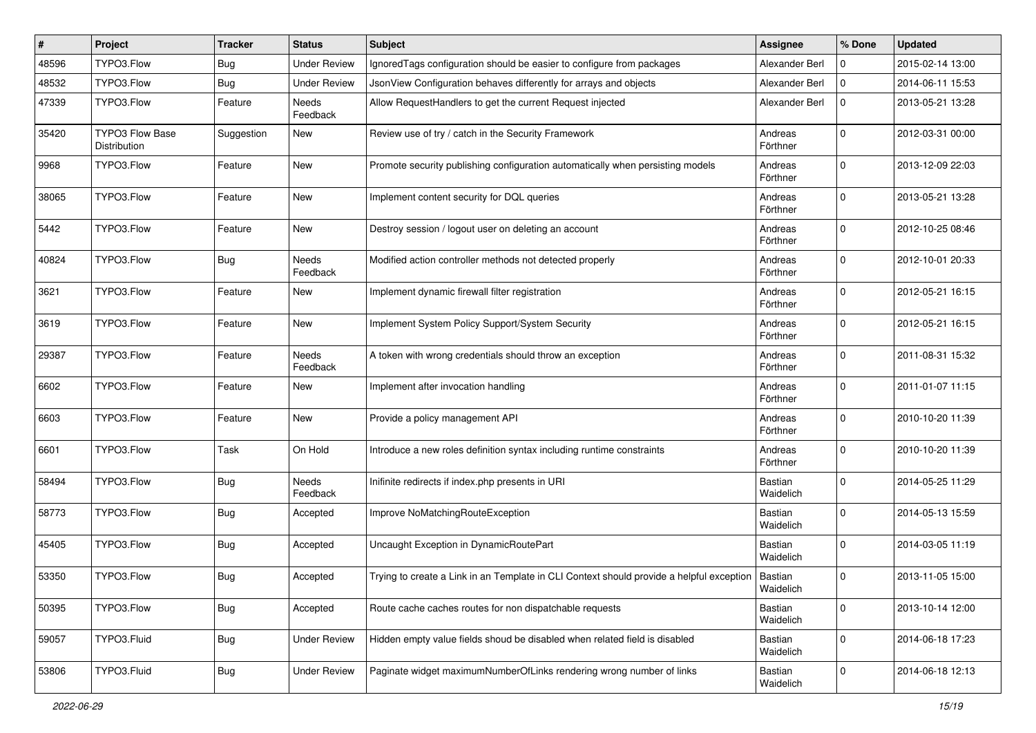| #     | Project                                | <b>Tracker</b> | <b>Status</b>            | <b>Subject</b>                                                                           | <b>Assignee</b>             | % Done      | <b>Updated</b>   |
|-------|----------------------------------------|----------------|--------------------------|------------------------------------------------------------------------------------------|-----------------------------|-------------|------------------|
| 48596 | TYPO3.Flow                             | <b>Bug</b>     | <b>Under Review</b>      | Ignored Tags configuration should be easier to configure from packages                   | Alexander Berl              | 0           | 2015-02-14 13:00 |
| 48532 | TYPO3.Flow                             | <b>Bug</b>     | <b>Under Review</b>      | JsonView Configuration behaves differently for arrays and objects                        | Alexander Berl              | $\mathbf 0$ | 2014-06-11 15:53 |
| 47339 | TYPO3.Flow                             | Feature        | Needs<br>Feedback        | Allow RequestHandlers to get the current Request injected                                | Alexander Berl              | $\mathbf 0$ | 2013-05-21 13:28 |
| 35420 | <b>TYPO3 Flow Base</b><br>Distribution | Suggestion     | New                      | Review use of try / catch in the Security Framework                                      | Andreas<br>Förthner         | $\mathbf 0$ | 2012-03-31 00:00 |
| 9968  | TYPO3.Flow                             | Feature        | New                      | Promote security publishing configuration automatically when persisting models           | Andreas<br>Förthner         | $\Omega$    | 2013-12-09 22:03 |
| 38065 | TYPO3.Flow                             | Feature        | New                      | Implement content security for DQL queries                                               | Andreas<br>Förthner         | $\mathbf 0$ | 2013-05-21 13:28 |
| 5442  | TYPO3.Flow                             | Feature        | New                      | Destroy session / logout user on deleting an account                                     | Andreas<br>Förthner         | $\mathbf 0$ | 2012-10-25 08:46 |
| 40824 | TYPO3.Flow                             | Bug            | <b>Needs</b><br>Feedback | Modified action controller methods not detected properly                                 | Andreas<br>Förthner         | $\mathbf 0$ | 2012-10-01 20:33 |
| 3621  | TYPO3.Flow                             | Feature        | New                      | Implement dynamic firewall filter registration                                           | Andreas<br>Förthner         | $\Omega$    | 2012-05-21 16:15 |
| 3619  | TYPO3.Flow                             | Feature        | New                      | Implement System Policy Support/System Security                                          | Andreas<br>Förthner         | $\Omega$    | 2012-05-21 16:15 |
| 29387 | TYPO3.Flow                             | Feature        | <b>Needs</b><br>Feedback | A token with wrong credentials should throw an exception                                 | Andreas<br>Förthner         | $\mathbf 0$ | 2011-08-31 15:32 |
| 6602  | TYPO3.Flow                             | Feature        | New                      | Implement after invocation handling                                                      | Andreas<br>Förthner         | $\mathbf 0$ | 2011-01-07 11:15 |
| 6603  | TYPO3.Flow                             | Feature        | New                      | Provide a policy management API                                                          | Andreas<br>Förthner         | $\mathbf 0$ | 2010-10-20 11:39 |
| 6601  | TYPO3.Flow                             | Task           | On Hold                  | Introduce a new roles definition syntax including runtime constraints                    | Andreas<br>Förthner         | $\mathbf 0$ | 2010-10-20 11:39 |
| 58494 | TYPO3.Flow                             | <b>Bug</b>     | <b>Needs</b><br>Feedback | Inifinite redirects if index.php presents in URI                                         | <b>Bastian</b><br>Waidelich | $\mathbf 0$ | 2014-05-25 11:29 |
| 58773 | TYPO3.Flow                             | <b>Bug</b>     | Accepted                 | Improve NoMatchingRouteException                                                         | Bastian<br>Waidelich        | $\Omega$    | 2014-05-13 15:59 |
| 45405 | TYPO3.Flow                             | Bug            | Accepted                 | Uncaught Exception in DynamicRoutePart                                                   | Bastian<br>Waidelich        | $\Omega$    | 2014-03-05 11:19 |
| 53350 | TYPO3.Flow                             | <b>Bug</b>     | Accepted                 | Trying to create a Link in an Template in CLI Context should provide a helpful exception | Bastian<br>Waidelich        | $\mathbf 0$ | 2013-11-05 15:00 |
| 50395 | TYPO3.Flow                             | <b>Bug</b>     | Accepted                 | Route cache caches routes for non dispatchable requests                                  | Bastian<br>Waidelich        | $\mathbf 0$ | 2013-10-14 12:00 |
| 59057 | TYPO3.Fluid                            | <b>Bug</b>     | <b>Under Review</b>      | Hidden empty value fields shoud be disabled when related field is disabled               | Bastian<br>Waidelich        | $\mathbf 0$ | 2014-06-18 17:23 |
| 53806 | TYPO3.Fluid                            | <b>Bug</b>     | <b>Under Review</b>      | Paginate widget maximumNumberOfLinks rendering wrong number of links                     | Bastian<br>Waidelich        | 0           | 2014-06-18 12:13 |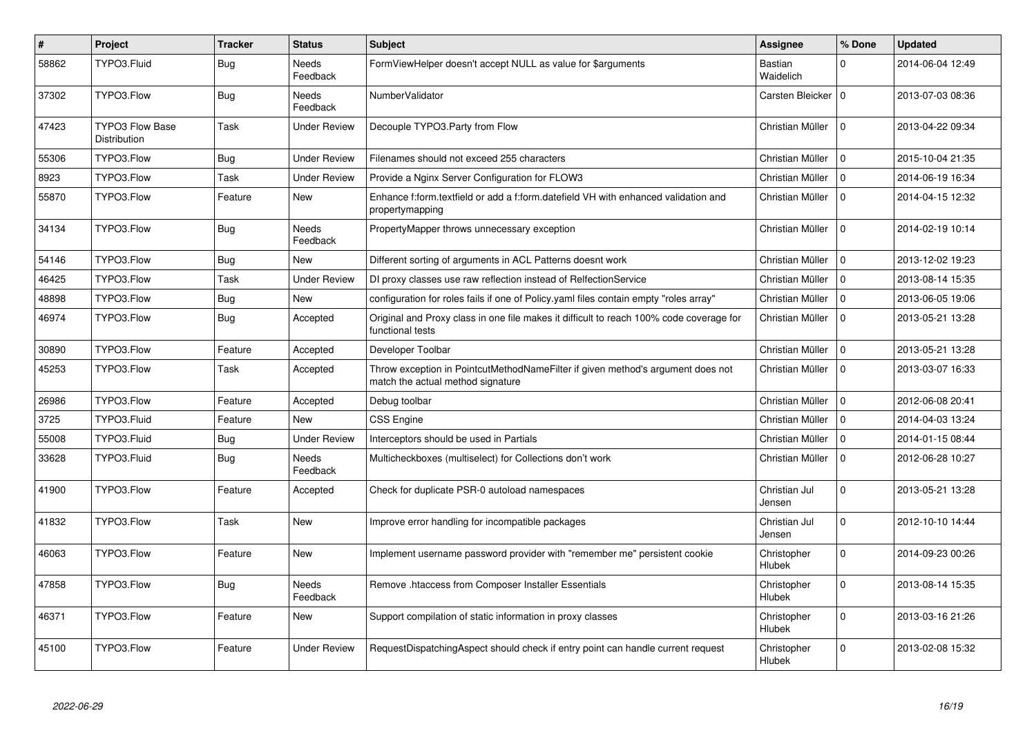| #     | <b>Project</b>                                | <b>Tracker</b> | <b>Status</b>            | <b>Subject</b>                                                                                                       | <b>Assignee</b>         | % Done         | <b>Updated</b>   |
|-------|-----------------------------------------------|----------------|--------------------------|----------------------------------------------------------------------------------------------------------------------|-------------------------|----------------|------------------|
| 58862 | TYPO3.Fluid                                   | <b>Bug</b>     | <b>Needs</b><br>Feedback | FormViewHelper doesn't accept NULL as value for \$arguments                                                          | Bastian<br>Waidelich    | $\Omega$       | 2014-06-04 12:49 |
| 37302 | TYPO3.Flow                                    | Bug            | Needs<br>Feedback        | NumberValidator                                                                                                      | Carsten Bleicker        | $\overline{0}$ | 2013-07-03 08:36 |
| 47423 | <b>TYPO3 Flow Base</b><br><b>Distribution</b> | Task           | Under Review             | Decouple TYPO3. Party from Flow                                                                                      | Christian Müller        | $\Omega$       | 2013-04-22 09:34 |
| 55306 | TYPO3.Flow                                    | <b>Bug</b>     | Under Review             | Filenames should not exceed 255 characters                                                                           | Christian Müller        | $\Omega$       | 2015-10-04 21:35 |
| 8923  | TYPO3.Flow                                    | Task           | Under Review             | Provide a Nginx Server Configuration for FLOW3                                                                       | Christian Müller        | $\Omega$       | 2014-06-19 16:34 |
| 55870 | TYPO3.Flow                                    | Feature        | New                      | Enhance f:form.textfield or add a f:form.datefield VH with enhanced validation and<br>propertymapping                | Christian Müller        | $\Omega$       | 2014-04-15 12:32 |
| 34134 | TYPO3.Flow                                    | <b>Bug</b>     | <b>Needs</b><br>Feedback | PropertyMapper throws unnecessary exception                                                                          | Christian Müller        | $\Omega$       | 2014-02-19 10:14 |
| 54146 | TYPO3.Flow                                    | <b>Bug</b>     | <b>New</b>               | Different sorting of arguments in ACL Patterns doesnt work                                                           | Christian Müller        | $\Omega$       | 2013-12-02 19:23 |
| 46425 | TYPO3.Flow                                    | Task           | <b>Under Review</b>      | DI proxy classes use raw reflection instead of RelfectionService                                                     | Christian Müller        | $\Omega$       | 2013-08-14 15:35 |
| 48898 | TYPO3.Flow                                    | Bug            | New                      | configuration for roles fails if one of Policy yaml files contain empty "roles array"                                | Christian Müller        | $\Omega$       | 2013-06-05 19:06 |
| 46974 | TYPO3.Flow                                    | <b>Bug</b>     | Accepted                 | Original and Proxy class in one file makes it difficult to reach 100% code coverage for<br>functional tests          | Christian Müller        | $\mathbf 0$    | 2013-05-21 13:28 |
| 30890 | TYPO3.Flow                                    | Feature        | Accepted                 | Developer Toolbar                                                                                                    | Christian Müller        | $\mathbf 0$    | 2013-05-21 13:28 |
| 45253 | TYPO3.Flow                                    | Task           | Accepted                 | Throw exception in PointcutMethodNameFilter if given method's argument does not<br>match the actual method signature | Christian Müller        | $\Omega$       | 2013-03-07 16:33 |
| 26986 | TYPO3.Flow                                    | Feature        | Accepted                 | Debug toolbar                                                                                                        | Christian Müller        | $\Omega$       | 2012-06-08 20:41 |
| 3725  | TYPO3.Fluid                                   | Feature        | <b>New</b>               | <b>CSS Engine</b>                                                                                                    | Christian Müller        | $\mathbf 0$    | 2014-04-03 13:24 |
| 55008 | TYPO3.Fluid                                   | <b>Bug</b>     | <b>Under Review</b>      | Interceptors should be used in Partials                                                                              | Christian Müller        | $\Omega$       | 2014-01-15 08:44 |
| 33628 | TYPO3.Fluid                                   | <b>Bug</b>     | Needs<br>Feedback        | Multicheckboxes (multiselect) for Collections don't work                                                             | Christian Müller        | $\Omega$       | 2012-06-28 10:27 |
| 41900 | TYPO3.Flow                                    | Feature        | Accepted                 | Check for duplicate PSR-0 autoload namespaces                                                                        | Christian Jul<br>Jensen | $\Omega$       | 2013-05-21 13:28 |
| 41832 | TYPO3.Flow                                    | Task           | <b>New</b>               | Improve error handling for incompatible packages                                                                     | Christian Jul<br>Jensen | $\Omega$       | 2012-10-10 14:44 |
| 46063 | TYPO3.Flow                                    | Feature        | New                      | Implement username password provider with "remember me" persistent cookie                                            | Christopher<br>Hlubek   | $\Omega$       | 2014-09-23 00:26 |
| 47858 | TYPO3.Flow                                    | <b>Bug</b>     | <b>Needs</b><br>Feedback | Remove .htaccess from Composer Installer Essentials                                                                  | Christopher<br>Hlubek   | $\Omega$       | 2013-08-14 15:35 |
| 46371 | TYPO3.Flow                                    | Feature        | <b>New</b>               | Support compilation of static information in proxy classes                                                           | Christopher<br>Hlubek   | $\Omega$       | 2013-03-16 21:26 |
| 45100 | TYPO3.Flow                                    | Feature        | Under Review             | RequestDispatchingAspect should check if entry point can handle current request                                      | Christopher<br>Hlubek   | $\Omega$       | 2013-02-08 15:32 |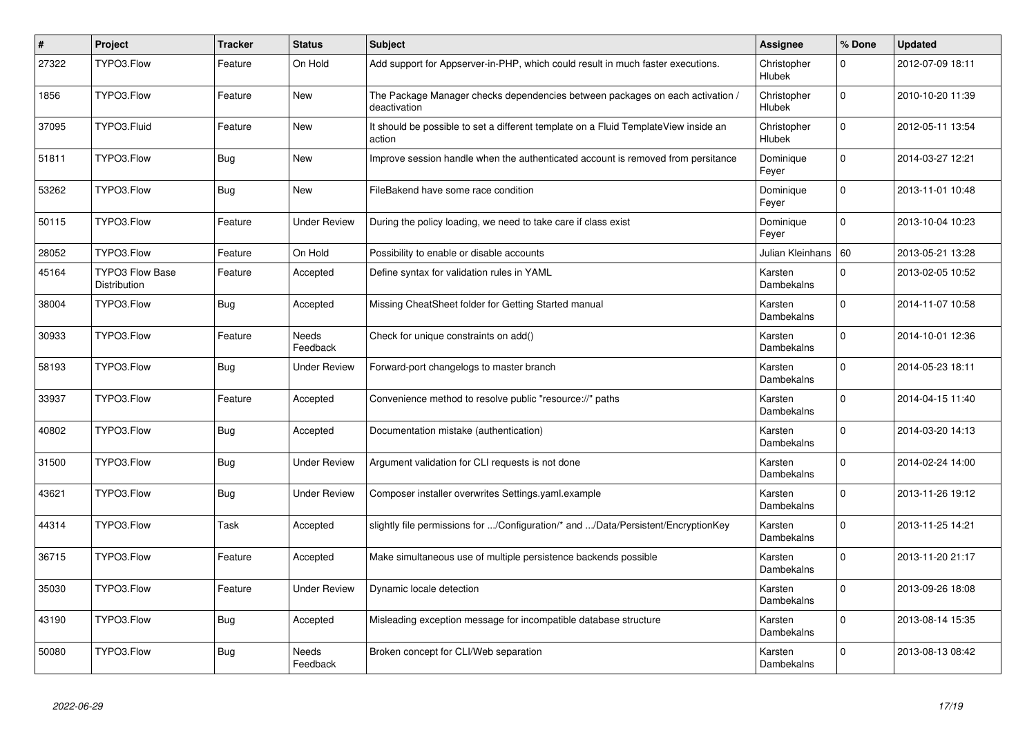| $\vert$ # | Project                                       | <b>Tracker</b> | <b>Status</b>            | <b>Subject</b>                                                                                | Assignee              | % Done      | <b>Updated</b>   |
|-----------|-----------------------------------------------|----------------|--------------------------|-----------------------------------------------------------------------------------------------|-----------------------|-------------|------------------|
| 27322     | TYPO3.Flow                                    | Feature        | On Hold                  | Add support for Appserver-in-PHP, which could result in much faster executions.               | Christopher<br>Hlubek | 0           | 2012-07-09 18:11 |
| 1856      | TYPO3.Flow                                    | Feature        | New                      | The Package Manager checks dependencies between packages on each activation /<br>deactivation | Christopher<br>Hlubek | $\Omega$    | 2010-10-20 11:39 |
| 37095     | TYPO3.Fluid                                   | Feature        | New                      | It should be possible to set a different template on a Fluid TemplateView inside an<br>action | Christopher<br>Hlubek | $\Omega$    | 2012-05-11 13:54 |
| 51811     | TYPO3.Flow                                    | <b>Bug</b>     | <b>New</b>               | Improve session handle when the authenticated account is removed from persitance              | Dominique<br>Feyer    | $\mathbf 0$ | 2014-03-27 12:21 |
| 53262     | TYPO3.Flow                                    | Bug            | <b>New</b>               | FileBakend have some race condition                                                           | Dominique<br>Feyer    | $\Omega$    | 2013-11-01 10:48 |
| 50115     | TYPO3.Flow                                    | Feature        | Under Review             | During the policy loading, we need to take care if class exist                                | Dominique<br>Feyer    | $\mathbf 0$ | 2013-10-04 10:23 |
| 28052     | TYPO3.Flow                                    | Feature        | On Hold                  | Possibility to enable or disable accounts                                                     | Julian Kleinhans   60 |             | 2013-05-21 13:28 |
| 45164     | <b>TYPO3 Flow Base</b><br><b>Distribution</b> | Feature        | Accepted                 | Define syntax for validation rules in YAML                                                    | Karsten<br>Dambekalns | $\Omega$    | 2013-02-05 10:52 |
| 38004     | TYPO3.Flow                                    | <b>Bug</b>     | Accepted                 | Missing CheatSheet folder for Getting Started manual                                          | Karsten<br>Dambekalns | $\Omega$    | 2014-11-07 10:58 |
| 30933     | TYPO3.Flow                                    | Feature        | <b>Needs</b><br>Feedback | Check for unique constraints on add()                                                         | Karsten<br>Dambekalns | $\Omega$    | 2014-10-01 12:36 |
| 58193     | TYPO3.Flow                                    | <b>Bug</b>     | <b>Under Review</b>      | Forward-port changelogs to master branch                                                      | Karsten<br>Dambekalns | $\mathbf 0$ | 2014-05-23 18:11 |
| 33937     | TYPO3.Flow                                    | Feature        | Accepted                 | Convenience method to resolve public "resource://" paths                                      | Karsten<br>Dambekalns | $\Omega$    | 2014-04-15 11:40 |
| 40802     | TYPO3.Flow                                    | <b>Bug</b>     | Accepted                 | Documentation mistake (authentication)                                                        | Karsten<br>Dambekalns | $\Omega$    | 2014-03-20 14:13 |
| 31500     | TYPO3.Flow                                    | <b>Bug</b>     | <b>Under Review</b>      | Argument validation for CLI requests is not done                                              | Karsten<br>Dambekalns | $\Omega$    | 2014-02-24 14:00 |
| 43621     | TYPO3.Flow                                    | <b>Bug</b>     | <b>Under Review</b>      | Composer installer overwrites Settings.yaml.example                                           | Karsten<br>Dambekalns | $\Omega$    | 2013-11-26 19:12 |
| 44314     | TYPO3.Flow                                    | Task           | Accepted                 | slightly file permissions for /Configuration/* and /Data/Persistent/EncryptionKey             | Karsten<br>Dambekalns | $\Omega$    | 2013-11-25 14:21 |
| 36715     | TYPO3.Flow                                    | Feature        | Accepted                 | Make simultaneous use of multiple persistence backends possible                               | Karsten<br>Dambekalns | $\Omega$    | 2013-11-20 21:17 |
| 35030     | TYPO3.Flow                                    | Feature        | Under Review             | Dynamic locale detection                                                                      | Karsten<br>Dambekalns | $\Omega$    | 2013-09-26 18:08 |
| 43190     | TYPO3.Flow                                    | Bug            | Accepted                 | Misleading exception message for incompatible database structure                              | Karsten<br>Dambekalns | $\Omega$    | 2013-08-14 15:35 |
| 50080     | TYPO3.Flow                                    | <b>Bug</b>     | Needs<br>Feedback        | Broken concept for CLI/Web separation                                                         | Karsten<br>Dambekalns | $\mathbf 0$ | 2013-08-13 08:42 |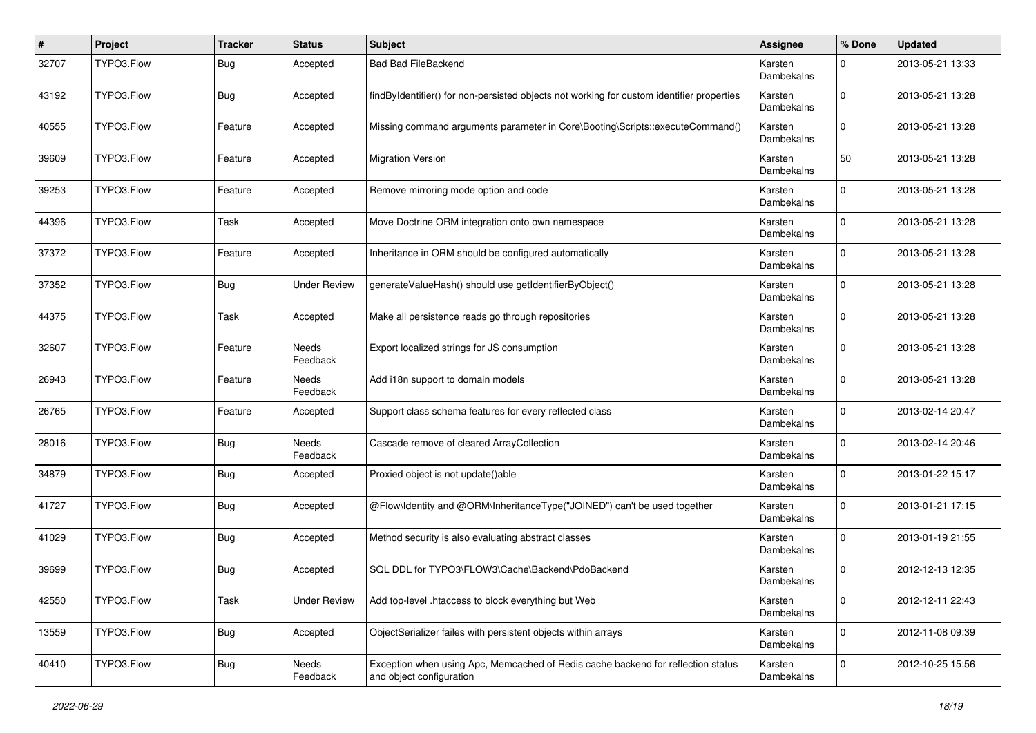| $\pmb{\#}$ | Project    | <b>Tracker</b> | <b>Status</b>       | Subject                                                                                                      | <b>Assignee</b>       | % Done      | <b>Updated</b>   |
|------------|------------|----------------|---------------------|--------------------------------------------------------------------------------------------------------------|-----------------------|-------------|------------------|
| 32707      | TYPO3.Flow | <b>Bug</b>     | Accepted            | <b>Bad Bad FileBackend</b>                                                                                   | Karsten<br>Dambekalns | $\Omega$    | 2013-05-21 13:33 |
| 43192      | TYPO3.Flow | Bug            | Accepted            | findByIdentifier() for non-persisted objects not working for custom identifier properties                    | Karsten<br>Dambekalns | $\Omega$    | 2013-05-21 13:28 |
| 40555      | TYPO3.Flow | Feature        | Accepted            | Missing command arguments parameter in Core\Booting\Scripts::executeCommand()                                | Karsten<br>Dambekalns | $\Omega$    | 2013-05-21 13:28 |
| 39609      | TYPO3.Flow | Feature        | Accepted            | <b>Migration Version</b>                                                                                     | Karsten<br>Dambekalns | 50          | 2013-05-21 13:28 |
| 39253      | TYPO3.Flow | Feature        | Accepted            | Remove mirroring mode option and code                                                                        | Karsten<br>Dambekalns | $\Omega$    | 2013-05-21 13:28 |
| 44396      | TYPO3.Flow | Task           | Accepted            | Move Doctrine ORM integration onto own namespace                                                             | Karsten<br>Dambekalns | $\Omega$    | 2013-05-21 13:28 |
| 37372      | TYPO3.Flow | Feature        | Accepted            | Inheritance in ORM should be configured automatically                                                        | Karsten<br>Dambekalns | $\Omega$    | 2013-05-21 13:28 |
| 37352      | TYPO3.Flow | Bug            | <b>Under Review</b> | generateValueHash() should use getIdentifierByObject()                                                       | Karsten<br>Dambekalns | $\Omega$    | 2013-05-21 13:28 |
| 44375      | TYPO3.Flow | Task           | Accepted            | Make all persistence reads go through repositories                                                           | Karsten<br>Dambekalns | $\Omega$    | 2013-05-21 13:28 |
| 32607      | TYPO3.Flow | Feature        | Needs<br>Feedback   | Export localized strings for JS consumption                                                                  | Karsten<br>Dambekalns | $\Omega$    | 2013-05-21 13:28 |
| 26943      | TYPO3.Flow | Feature        | Needs<br>Feedback   | Add i18n support to domain models                                                                            | Karsten<br>Dambekalns | $\Omega$    | 2013-05-21 13:28 |
| 26765      | TYPO3.Flow | Feature        | Accepted            | Support class schema features for every reflected class                                                      | Karsten<br>Dambekalns | $\Omega$    | 2013-02-14 20:47 |
| 28016      | TYPO3.Flow | <b>Bug</b>     | Needs<br>Feedback   | Cascade remove of cleared ArrayCollection                                                                    | Karsten<br>Dambekalns | $\Omega$    | 2013-02-14 20:46 |
| 34879      | TYPO3.Flow | <b>Bug</b>     | Accepted            | Proxied object is not update()able                                                                           | Karsten<br>Dambekalns | $\Omega$    | 2013-01-22 15:17 |
| 41727      | TYPO3.Flow | Bug            | Accepted            | @Flow\ldentity and @ORM\InheritanceType("JOINED") can't be used together                                     | Karsten<br>Dambekalns | $\Omega$    | 2013-01-21 17:15 |
| 41029      | TYPO3.Flow | <b>Bug</b>     | Accepted            | Method security is also evaluating abstract classes                                                          | Karsten<br>Dambekalns | $\mathbf 0$ | 2013-01-19 21:55 |
| 39699      | TYPO3.Flow | <b>Bug</b>     | Accepted            | SQL DDL for TYPO3\FLOW3\Cache\Backend\PdoBackend                                                             | Karsten<br>Dambekalns | $\Omega$    | 2012-12-13 12:35 |
| 42550      | TYPO3.Flow | Task           | <b>Under Review</b> | Add top-level .htaccess to block everything but Web                                                          | Karsten<br>Dambekalns | $\mathbf 0$ | 2012-12-11 22:43 |
| 13559      | TYPO3.Flow | Bug            | Accepted            | ObjectSerializer failes with persistent objects within arrays                                                | Karsten<br>Dambekalns | $\mathbf 0$ | 2012-11-08 09:39 |
| 40410      | TYPO3.Flow | <b>Bug</b>     | Needs<br>Feedback   | Exception when using Apc, Memcached of Redis cache backend for reflection status<br>and object configuration | Karsten<br>Dambekalns | $\mathbf 0$ | 2012-10-25 15:56 |